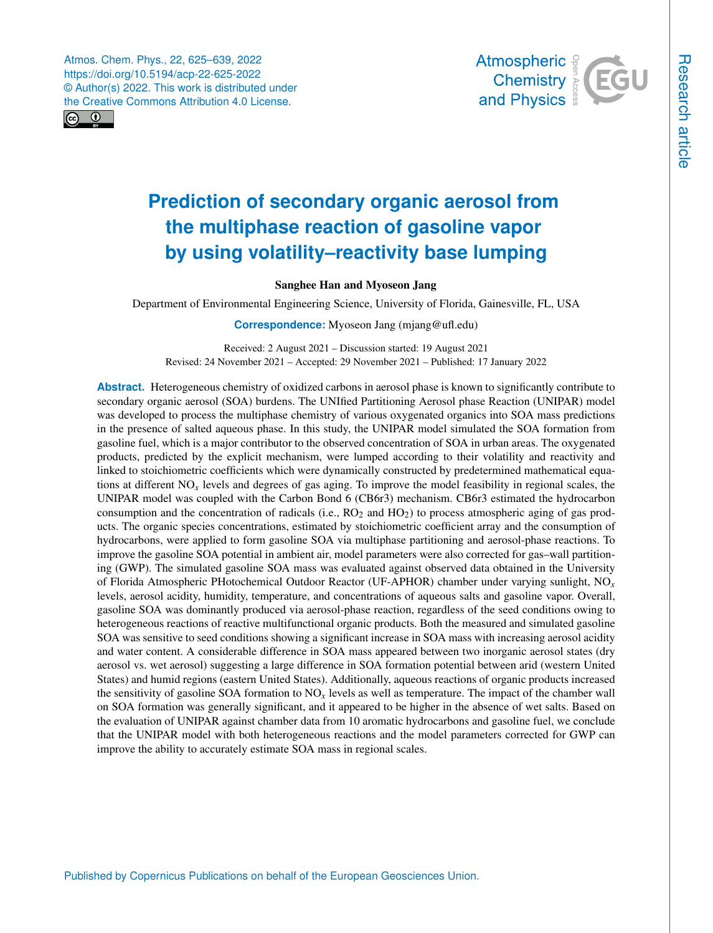Atmos. Chem. Phys., 22, 625–639, 2022 https://doi.org/10.5194/acp-22-625-2022 © Author(s) 2022. This work is distributed under the Creative Commons Attribution 4.0 License.





# **Prediction of secondary organic aerosol from the multiphase reaction of gasoline vapor**

# **by using volatility–reactivity base lumping**

## Sanghee Han and Myoseon Jang

Department of Environmental Engineering Science, University of Florida, Gainesville, FL, USA

**Correspondence:** Myoseon Jang (mjang@ufl.edu)

Received: 2 August 2021 – Discussion started: 19 August 2021 Revised: 24 November 2021 – Accepted: 29 November 2021 – Published: 17 January 2022

**Abstract.** Heterogeneous chemistry of oxidized carbons in aerosol phase is known to significantly contribute to secondary organic aerosol (SOA) burdens. The UNIfied Partitioning Aerosol phase Reaction (UNIPAR) model was developed to process the multiphase chemistry of various oxygenated organics into SOA mass predictions in the presence of salted aqueous phase. In this study, the UNIPAR model simulated the SOA formation from gasoline fuel, which is a major contributor to the observed concentration of SOA in urban areas. The oxygenated products, predicted by the explicit mechanism, were lumped according to their volatility and reactivity and linked to stoichiometric coefficients which were dynamically constructed by predetermined mathematical equations at different  $NO<sub>x</sub>$  levels and degrees of gas aging. To improve the model feasibility in regional scales, the UNIPAR model was coupled with the Carbon Bond 6 (CB6r3) mechanism. CB6r3 estimated the hydrocarbon consumption and the concentration of radicals (i.e.,  $RO<sub>2</sub>$  and  $HO<sub>2</sub>$ ) to process atmospheric aging of gas products. The organic species concentrations, estimated by stoichiometric coefficient array and the consumption of hydrocarbons, were applied to form gasoline SOA via multiphase partitioning and aerosol-phase reactions. To improve the gasoline SOA potential in ambient air, model parameters were also corrected for gas–wall partitioning (GWP). The simulated gasoline SOA mass was evaluated against observed data obtained in the University of Florida Atmospheric PHotochemical Outdoor Reactor (UF-APHOR) chamber under varying sunlight, NO*x* levels, aerosol acidity, humidity, temperature, and concentrations of aqueous salts and gasoline vapor. Overall, gasoline SOA was dominantly produced via aerosol-phase reaction, regardless of the seed conditions owing to heterogeneous reactions of reactive multifunctional organic products. Both the measured and simulated gasoline SOA was sensitive to seed conditions showing a significant increase in SOA mass with increasing aerosol acidity and water content. A considerable difference in SOA mass appeared between two inorganic aerosol states (dry aerosol vs. wet aerosol) suggesting a large difference in SOA formation potential between arid (western United States) and humid regions (eastern United States). Additionally, aqueous reactions of organic products increased the sensitivity of gasoline SOA formation to NO*x* levels as well as temperature. The impact of the chamber wall on SOA formation was generally significant, and it appeared to be higher in the absence of wet salts. Based on the evaluation of UNIPAR against chamber data from 10 aromatic hydrocarbons and gasoline fuel, we conclude that the UNIPAR model with both heterogeneous reactions and the model parameters corrected for GWP can improve the ability to accurately estimate SOA mass in regional scales.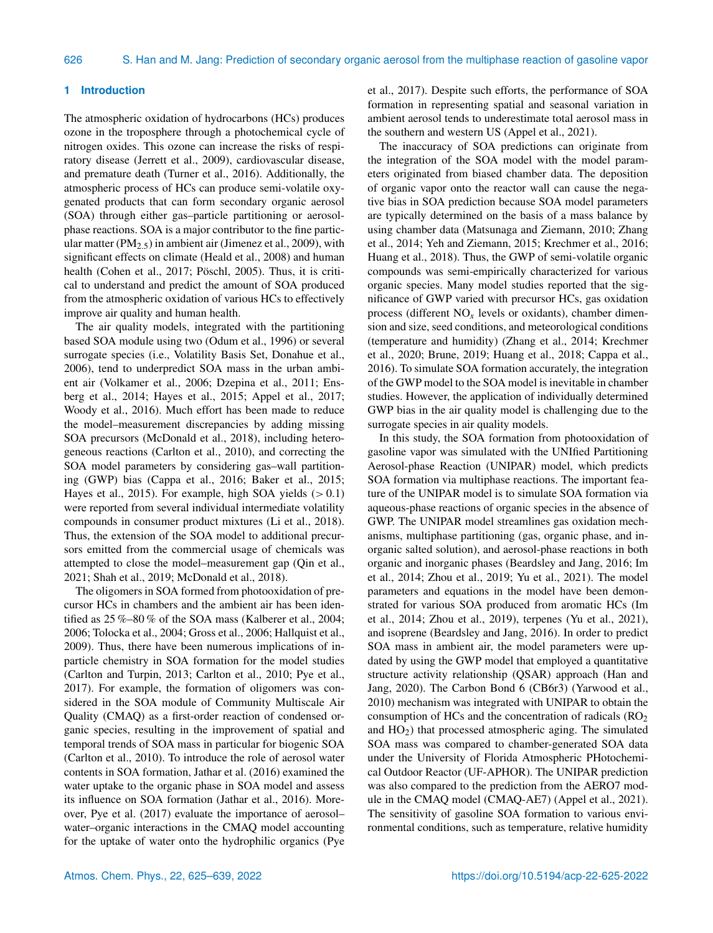#### **1 Introduction**

The atmospheric oxidation of hydrocarbons (HCs) produces ozone in the troposphere through a photochemical cycle of nitrogen oxides. This ozone can increase the risks of respiratory disease (Jerrett et al., 2009), cardiovascular disease, and premature death (Turner et al., 2016). Additionally, the atmospheric process of HCs can produce semi-volatile oxygenated products that can form secondary organic aerosol (SOA) through either gas–particle partitioning or aerosolphase reactions. SOA is a major contributor to the fine particular matter (PM<sub>2.5</sub>) in ambient air (Jimenez et al., 2009), with significant effects on climate (Heald et al., 2008) and human health (Cohen et al., 2017; Pöschl, 2005). Thus, it is critical to understand and predict the amount of SOA produced from the atmospheric oxidation of various HCs to effectively improve air quality and human health.

The air quality models, integrated with the partitioning based SOA module using two (Odum et al., 1996) or several surrogate species (i.e., Volatility Basis Set, Donahue et al., 2006), tend to underpredict SOA mass in the urban ambient air (Volkamer et al., 2006; Dzepina et al., 2011; Ensberg et al., 2014; Hayes et al., 2015; Appel et al., 2017; Woody et al., 2016). Much effort has been made to reduce the model–measurement discrepancies by adding missing SOA precursors (McDonald et al., 2018), including heterogeneous reactions (Carlton et al., 2010), and correcting the SOA model parameters by considering gas–wall partitioning (GWP) bias (Cappa et al., 2016; Baker et al., 2015; Hayes et al., 2015). For example, high SOA yields  $(>0.1)$ were reported from several individual intermediate volatility compounds in consumer product mixtures (Li et al., 2018). Thus, the extension of the SOA model to additional precursors emitted from the commercial usage of chemicals was attempted to close the model–measurement gap (Qin et al., 2021; Shah et al., 2019; McDonald et al., 2018).

The oligomers in SOA formed from photooxidation of precursor HCs in chambers and the ambient air has been identified as 25 %–80 % of the SOA mass (Kalberer et al., 2004; 2006; Tolocka et al., 2004; Gross et al., 2006; Hallquist et al., 2009). Thus, there have been numerous implications of inparticle chemistry in SOA formation for the model studies (Carlton and Turpin, 2013; Carlton et al., 2010; Pye et al., 2017). For example, the formation of oligomers was considered in the SOA module of Community Multiscale Air Quality (CMAQ) as a first-order reaction of condensed organic species, resulting in the improvement of spatial and temporal trends of SOA mass in particular for biogenic SOA (Carlton et al., 2010). To introduce the role of aerosol water contents in SOA formation, Jathar et al. (2016) examined the water uptake to the organic phase in SOA model and assess its influence on SOA formation (Jathar et al., 2016). Moreover, Pye et al. (2017) evaluate the importance of aerosol– water–organic interactions in the CMAQ model accounting for the uptake of water onto the hydrophilic organics (Pye et al., 2017). Despite such efforts, the performance of SOA formation in representing spatial and seasonal variation in ambient aerosol tends to underestimate total aerosol mass in the southern and western US (Appel et al., 2021).

The inaccuracy of SOA predictions can originate from the integration of the SOA model with the model parameters originated from biased chamber data. The deposition of organic vapor onto the reactor wall can cause the negative bias in SOA prediction because SOA model parameters are typically determined on the basis of a mass balance by using chamber data (Matsunaga and Ziemann, 2010; Zhang et al., 2014; Yeh and Ziemann, 2015; Krechmer et al., 2016; Huang et al., 2018). Thus, the GWP of semi-volatile organic compounds was semi-empirically characterized for various organic species. Many model studies reported that the significance of GWP varied with precursor HCs, gas oxidation process (different  $NO<sub>x</sub>$  levels or oxidants), chamber dimension and size, seed conditions, and meteorological conditions (temperature and humidity) (Zhang et al., 2014; Krechmer et al., 2020; Brune, 2019; Huang et al., 2018; Cappa et al., 2016). To simulate SOA formation accurately, the integration of the GWP model to the SOA model is inevitable in chamber studies. However, the application of individually determined GWP bias in the air quality model is challenging due to the surrogate species in air quality models.

In this study, the SOA formation from photooxidation of gasoline vapor was simulated with the UNIfied Partitioning Aerosol-phase Reaction (UNIPAR) model, which predicts SOA formation via multiphase reactions. The important feature of the UNIPAR model is to simulate SOA formation via aqueous-phase reactions of organic species in the absence of GWP. The UNIPAR model streamlines gas oxidation mechanisms, multiphase partitioning (gas, organic phase, and inorganic salted solution), and aerosol-phase reactions in both organic and inorganic phases (Beardsley and Jang, 2016; Im et al., 2014; Zhou et al., 2019; Yu et al., 2021). The model parameters and equations in the model have been demonstrated for various SOA produced from aromatic HCs (Im et al., 2014; Zhou et al., 2019), terpenes (Yu et al., 2021), and isoprene (Beardsley and Jang, 2016). In order to predict SOA mass in ambient air, the model parameters were updated by using the GWP model that employed a quantitative structure activity relationship (QSAR) approach (Han and Jang, 2020). The Carbon Bond 6 (CB6r3) (Yarwood et al., 2010) mechanism was integrated with UNIPAR to obtain the consumption of HCs and the concentration of radicals  $(RO<sub>2</sub>)$ and HO2) that processed atmospheric aging. The simulated SOA mass was compared to chamber-generated SOA data under the University of Florida Atmospheric PHotochemical Outdoor Reactor (UF-APHOR). The UNIPAR prediction was also compared to the prediction from the AERO7 module in the CMAQ model (CMAQ-AE7) (Appel et al., 2021). The sensitivity of gasoline SOA formation to various environmental conditions, such as temperature, relative humidity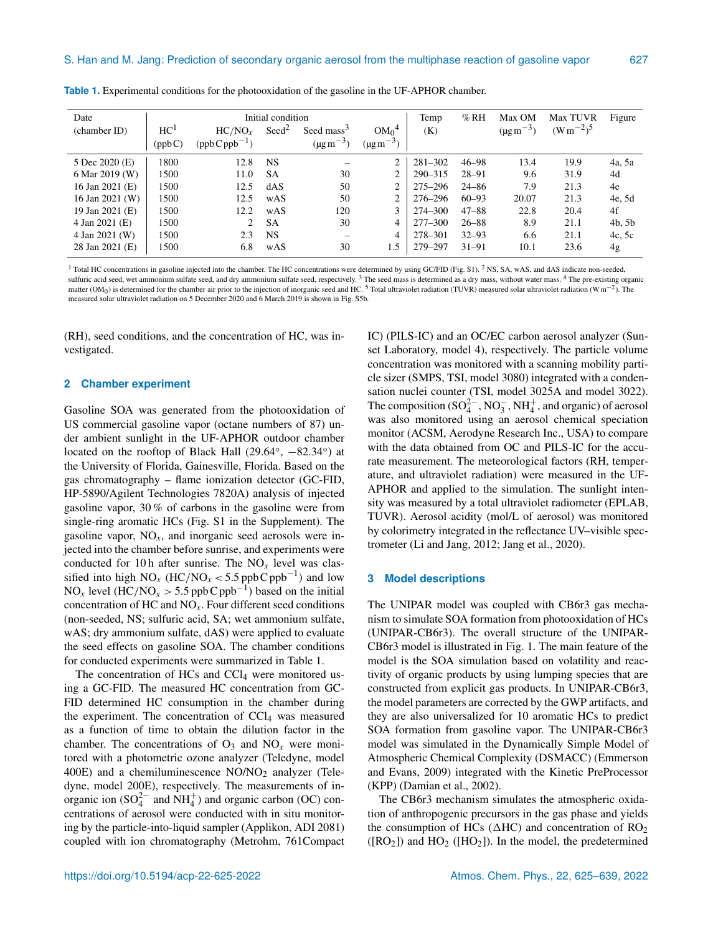| Date            | Initial condition |                    |                   |                            |                            | Temp        | %RH       | Max OM           | <b>Max TUVR</b> | Figure |
|-----------------|-------------------|--------------------|-------------------|----------------------------|----------------------------|-------------|-----------|------------------|-----------------|--------|
| (chamber ID)    | HC <sup>1</sup>   | $HC/NO_r$          | $\mathrm{Seed}^2$ | Seed mass $3$              | $OM_0^4$                   | (K)         |           | $(\mu g m^{-3})$ | $(Wm^{-2})^5$   |        |
|                 | (ppbC)            | $(ppb C ppb^{-1})$ |                   | $(\mu g \, \text{m}^{-3})$ | $(\mu g \, \text{m}^{-3})$ |             |           |                  |                 |        |
| 5 Dec 2020 (E)  | 1800              | 12.8               | <b>NS</b>         |                            | 2                          | $281 - 302$ | $46 - 98$ | 13.4             | 19.9            | 4a, 5a |
| 6 Mar 2019 (W)  | 1500              | 11.0               | <b>SA</b>         | 30                         | 2                          | $290 - 315$ | $28 - 91$ | 9.6              | 31.9            | 4d     |
| 16 Jan 2021 (E) | 1500              | 12.5               | dAS               | 50                         | 2                          | $275 - 296$ | $24 - 86$ | 7.9              | 21.3            | 4e     |
| 16 Jan 2021 (W) | 1500              | 12.5               | wAS               | 50                         | 2                          | 276–296     | $60 - 93$ | 20.07            | 21.3            | 4e, 5d |
| 19 Jan 2021 (E) | 1500              | 12.2               | wAS               | 120                        | 3                          | 274-300     | $47 - 88$ | 22.8             | 20.4            | 4f     |
| 4 Jan 2021 (E)  | 1500              | 2 <sup>1</sup>     | <b>SA</b>         | 30                         | 4                          | $277 - 300$ | $26 - 88$ | 8.9              | 21.1            | 4b, 5b |
| 4 Jan 2021 (W)  | 1500              | 2.3                | <b>NS</b>         | $\overline{\phantom{0}}$   | 4                          | 278-301     | $32 - 93$ | 6.6              | 21.1            | 4c, 5c |
| 28 Jan 2021 (E) | 1500              | 6.8                | wAS               | 30                         | 1.5                        | 279-297     | $31 - 91$ | 10.1             | 23.6            | 4g     |

**Table 1.** Experimental conditions for the photooxidation of the gasoline in the UF-APHOR chamber.

<sup>1</sup> Total HC concentrations in gasoline injected into the chamber. The HC concentrations were determined by using GC/FID (Fig. S1). <sup>2</sup> NS, SA, wAS, and dAS indicate non-seeded, sulfuric acid seed, wet ammonium sulfate seed, and dry ammonium sulfate seed, respectively.<sup>3</sup> The seed mass is determined as a dry mass, without water mass. <sup>4</sup> The pre-existing organic matter (OM<sub>0</sub>) is determined for the chamber air prior to the injection of inorganic seed and HC. <sup>5</sup> Total ultraviolet radiation (TUVR) measured solar ultraviolet radiation (Wm<sup>-2</sup>). The measured solar ultraviolet radiation on 5 December 2020 and 6 March 2019 is shown in Fig. S5b.

(RH), seed conditions, and the concentration of HC, was investigated.

#### **2 Chamber experiment**

Gasoline SOA was generated from the photooxidation of US commercial gasoline vapor (octane numbers of 87) under ambient sunlight in the UF-APHOR outdoor chamber located on the rooftop of Black Hall (29.64°, -82.34°) at the University of Florida, Gainesville, Florida. Based on the gas chromatography – flame ionization detector (GC-FID, HP-5890/Agilent Technologies 7820A) analysis of injected gasoline vapor, 30 % of carbons in the gasoline were from single-ring aromatic HCs (Fig. S1 in the Supplement). The gasoline vapor,  $NO_x$ , and inorganic seed aerosols were injected into the chamber before sunrise, and experiments were conducted for 10 h after sunrise. The  $NO<sub>x</sub>$  level was classified into high  $NO_x$  (HC/NO<sub>*x*</sub> < 5.5 ppbC ppb<sup>-1</sup>) and low NO<sub>x</sub> level (HC/NO<sub>x</sub> > 5.5 ppbCppb<sup>-1</sup>) based on the initial concentration of HC and NO*x*. Four different seed conditions (non-seeded, NS; sulfuric acid, SA; wet ammonium sulfate, wAS; dry ammonium sulfate, dAS) were applied to evaluate the seed effects on gasoline SOA. The chamber conditions for conducted experiments were summarized in Table 1.

The concentration of HCs and  $CCl<sub>4</sub>$  were monitored using a GC-FID. The measured HC concentration from GC-FID determined HC consumption in the chamber during the experiment. The concentration of  $CCl<sub>4</sub>$  was measured as a function of time to obtain the dilution factor in the chamber. The concentrations of  $O_3$  and  $NO_x$  were monitored with a photometric ozone analyzer (Teledyne, model 400E) and a chemiluminescence  $NO/NO<sub>2</sub>$  analyzer (Teledyne, model 200E), respectively. The measurements of inorganic ion  $(SO_4^{2-}$  and  $NH_4^+)$  and organic carbon (OC) concentrations of aerosol were conducted with in situ monitoring by the particle-into-liquid sampler (Applikon, ADI 2081) coupled with ion chromatography (Metrohm, 761Compact IC) (PILS-IC) and an OC/EC carbon aerosol analyzer (Sunset Laboratory, model 4), respectively. The particle volume concentration was monitored with a scanning mobility particle sizer (SMPS, TSI, model 3080) integrated with a condensation nuclei counter (TSI, model 3025A and model 3022). The composition  $(SO_4^{2-}, NO_3^-, NH_4^+$ , and organic) of aerosol was also monitored using an aerosol chemical speciation monitor (ACSM, Aerodyne Research Inc., USA) to compare with the data obtained from OC and PILS-IC for the accurate measurement. The meteorological factors (RH, temperature, and ultraviolet radiation) were measured in the UF-APHOR and applied to the simulation. The sunlight intensity was measured by a total ultraviolet radiometer (EPLAB, TUVR). Aerosol acidity (mol/L of aerosol) was monitored by colorimetry integrated in the reflectance UV–visible spectrometer (Li and Jang, 2012; Jang et al., 2020).

#### **3 Model descriptions**

The UNIPAR model was coupled with CB6r3 gas mechanism to simulate SOA formation from photooxidation of HCs (UNIPAR-CB6r3). The overall structure of the UNIPAR-CB6r3 model is illustrated in Fig. 1. The main feature of the model is the SOA simulation based on volatility and reactivity of organic products by using lumping species that are constructed from explicit gas products. In UNIPAR-CB6r3, the model parameters are corrected by the GWP artifacts, and they are also universalized for 10 aromatic HCs to predict SOA formation from gasoline vapor. The UNIPAR-CB6r3 model was simulated in the Dynamically Simple Model of Atmospheric Chemical Complexity (DSMACC) (Emmerson and Evans, 2009) integrated with the Kinetic PreProcessor (KPP) (Damian et al., 2002).

The CB6r3 mechanism simulates the atmospheric oxidation of anthropogenic precursors in the gas phase and yields the consumption of HCs ( $\triangle$ HC) and concentration of RO<sub>2</sub>  $([RO<sub>2</sub>])$  and  $HO<sub>2</sub>$  ([HO<sub>2</sub>]). In the model, the predetermined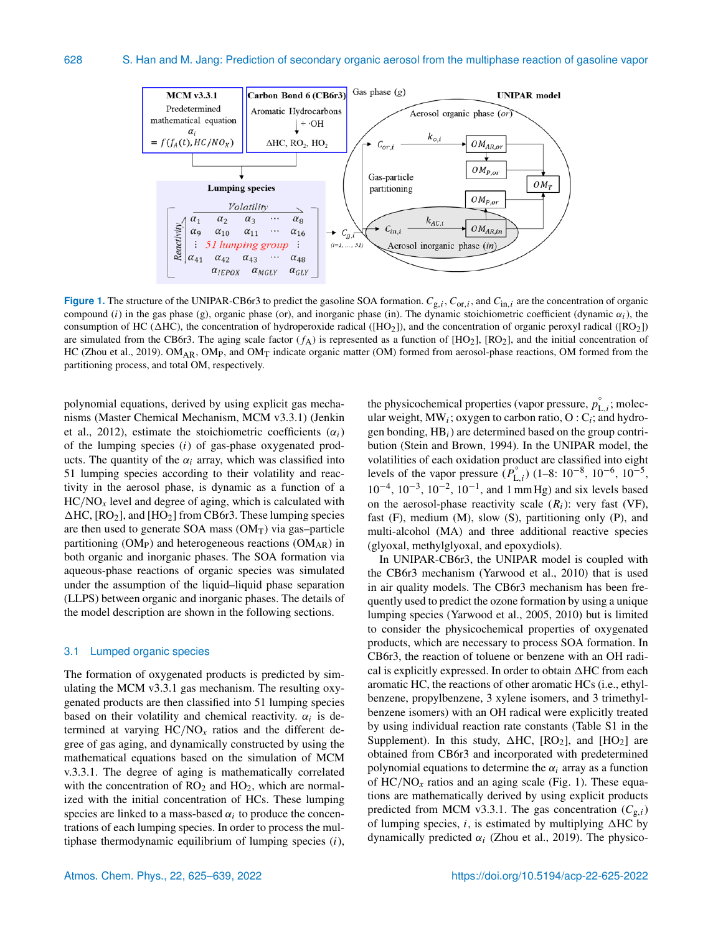

**Figure 1.** The structure of the UNIPAR-CB6r3 to predict the gasoline SOA formation.  $C_{g,i}$ ,  $C_{or,i}$ , and  $C_{in,i}$  are the concentration of organic compound (i) in the gas phase (g), organic phase (or), and inorganic phase (in). The dynamic stoichiometric coefficient (dynamic  $\alpha_i$ ), the consumption of HC ( $\Delta$ HC), the concentration of hydroperoxide radical ( $[HO_2]$ ), and the concentration of organic peroxyl radical ( $[RO_2]$ ) are simulated from the CB6r3. The aging scale factor  $(f_A)$  is represented as a function of [HO<sub>2</sub>], [RO<sub>2</sub>], and the initial concentration of HC (Zhou et al., 2019). OM<sub>AR</sub>, OM<sub>P</sub>, and OM<sub>T</sub> indicate organic matter (OM) formed from aerosol-phase reactions, OM formed from the partitioning process, and total OM, respectively.

polynomial equations, derived by using explicit gas mechanisms (Master Chemical Mechanism, MCM v3.3.1) (Jenkin et al., 2012), estimate the stoichiometric coefficients  $(\alpha_i)$ of the lumping species  $(i)$  of gas-phase oxygenated products. The quantity of the  $\alpha_i$  array, which was classified into 51 lumping species according to their volatility and reactivity in the aerosol phase, is dynamic as a function of a  $HC/NO<sub>x</sub>$  level and degree of aging, which is calculated with  $\Delta$ HC, [RO<sub>2</sub>], and [HO<sub>2</sub>] from CB6r3. These lumping species are then used to generate SOA mass  $(OM<sub>T</sub>)$  via gas–particle partitioning (OM<sub>P</sub>) and heterogeneous reactions (OM<sub>AR</sub>) in both organic and inorganic phases. The SOA formation via aqueous-phase reactions of organic species was simulated under the assumption of the liquid–liquid phase separation (LLPS) between organic and inorganic phases. The details of the model description are shown in the following sections.

#### 3.1 Lumped organic species

The formation of oxygenated products is predicted by simulating the MCM v3.3.1 gas mechanism. The resulting oxygenated products are then classified into 51 lumping species based on their volatility and chemical reactivity.  $\alpha_i$  is determined at varying  $HC/NO<sub>x</sub>$  ratios and the different degree of gas aging, and dynamically constructed by using the mathematical equations based on the simulation of MCM v.3.3.1. The degree of aging is mathematically correlated with the concentration of  $RO<sub>2</sub>$  and  $HO<sub>2</sub>$ , which are normalized with the initial concentration of HCs. These lumping species are linked to a mass-based  $\alpha_i$  to produce the concentrations of each lumping species. In order to process the multiphase thermodynamic equilibrium of lumping species  $(i)$ ,

the physicochemical properties (vapor pressure,  $p_{L,i}^{\circ}$ ; molecular weight, MW<sub>i</sub>; oxygen to carbon ratio, O: C<sub>i</sub>; and hydrogen bonding,  $HB_i$ ) are determined based on the group contribution (Stein and Brown, 1994). In the UNIPAR model, the volatilities of each oxidation product are classified into eight levels of the vapor pressure  $(P_{L,i}^{\circ})$  (1–8: 10<sup>-8</sup>, 10<sup>-6</sup>, 10<sup>-5</sup>, 10−<sup>4</sup> , 10−<sup>3</sup> , 10−<sup>2</sup> , 10−<sup>1</sup> , and 1 mm Hg) and six levels based on the aerosol-phase reactivity scale  $(R<sub>i</sub>)$ : very fast (VF), fast  $(F)$ , medium  $(M)$ , slow  $(S)$ , partitioning only  $(P)$ , and multi-alcohol (MA) and three additional reactive species (glyoxal, methylglyoxal, and epoxydiols).

In UNIPAR-CB6r3, the UNIPAR model is coupled with the CB6r3 mechanism (Yarwood et al., 2010) that is used in air quality models. The CB6r3 mechanism has been frequently used to predict the ozone formation by using a unique lumping species (Yarwood et al., 2005, 2010) but is limited to consider the physicochemical properties of oxygenated products, which are necessary to process SOA formation. In CB6r3, the reaction of toluene or benzene with an OH radical is explicitly expressed. In order to obtain  $\triangle$ HC from each aromatic HC, the reactions of other aromatic HCs (i.e., ethylbenzene, propylbenzene, 3 xylene isomers, and 3 trimethylbenzene isomers) with an OH radical were explicitly treated by using individual reaction rate constants (Table S1 in the Supplement). In this study,  $\triangle$ HC, [RO<sub>2</sub>], and [HO<sub>2</sub>] are obtained from CB6r3 and incorporated with predetermined polynomial equations to determine the  $\alpha_i$  array as a function of  $HC/NO<sub>x</sub>$  ratios and an aging scale (Fig. 1). These equations are mathematically derived by using explicit products predicted from MCM v3.3.1. The gas concentration  $(C_{g,i})$ of lumping species, i, is estimated by multiplying  $\triangle$ HC by dynamically predicted  $\alpha_i$  (Zhou et al., 2019). The physico-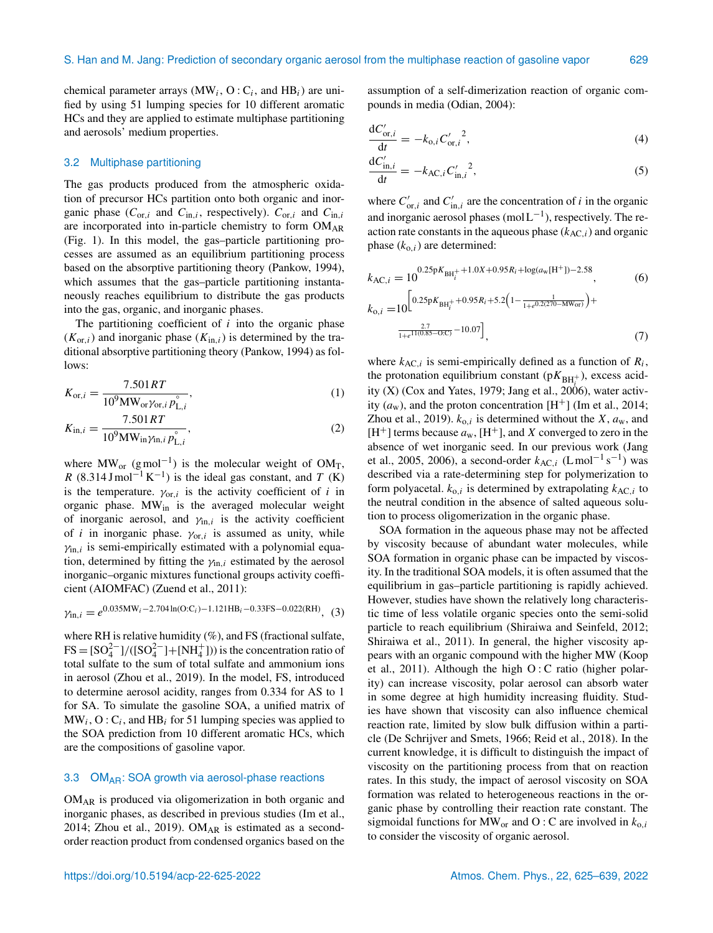chemical parameter arrays (MW<sub>i</sub>, O: C<sub>i</sub>, and HB<sub>i</sub>) are unified by using 51 lumping species for 10 different aromatic HCs and they are applied to estimate multiphase partitioning and aerosols' medium properties.

#### 3.2 Multiphase partitioning

The gas products produced from the atmospheric oxidation of precursor HCs partition onto both organic and inorganic phase ( $C_{\text{or},i}$  and  $C_{\text{in},i}$ , respectively).  $C_{\text{or},i}$  and  $C_{\text{in},i}$ are incorporated into in-particle chemistry to form  $OM_{AR}$ (Fig. 1). In this model, the gas–particle partitioning processes are assumed as an equilibrium partitioning process based on the absorptive partitioning theory (Pankow, 1994), which assumes that the gas-particle partitioning instantaneously reaches equilibrium to distribute the gas products into the gas, organic, and inorganic phases.

The partitioning coefficient of  $i$  into the organic phase  $(K_{\text{or},i})$  and inorganic phase  $(K_{\text{in},i})$  is determined by the traditional absorptive partitioning theory (Pankow, 1994) as follows:

$$
K_{\text{or},i} = \frac{7.501RT}{10^9 \text{MW}_{\text{or}} \gamma_{\text{or},i} p_{\text{L},i}^{\circ}},\tag{1}
$$

$$
K_{\text{in},i} = \frac{7.501RT}{10^9 \text{MW}_{\text{in}} \gamma_{\text{in},i} p_{\text{L},i}^{\circ}},\tag{2}
$$

where  $MW_{or}$  (gmol<sup>-1</sup>) is the molecular weight of OM<sub>T</sub>, R (8.314 Jmol<sup>-1</sup> K<sup>-1</sup>) is the ideal gas constant, and T (K) is the temperature.  $\gamma_{\text{or},i}$  is the activity coefficient of i in organic phase. MWin is the averaged molecular weight of inorganic aerosol, and  $\gamma_{\text{in},i}$  is the activity coefficient of *i* in inorganic phase.  $\gamma_{\text{or},i}$  is assumed as unity, while  $\gamma_{\text{in},i}$  is semi-empirically estimated with a polynomial equation, determined by fitting the  $\gamma_{\text{in},i}$  estimated by the aerosol inorganic–organic mixtures functional groups activity coefficient (AIOMFAC) (Zuend et al., 2011):

$$
\gamma_{\text{in},i} = e^{0.035 \text{MW}_i - 2.704 \ln(\text{O:C}_i) - 1.121 \text{HB}_i - 0.33 \text{FS} - 0.022(\text{RH})}, (3)
$$

where RH is relative humidity (%), and FS (fractional sulfate,  $FS = [SO_4^{2-}]/([SO_4^{2-}] + [NH_4^+]))$  is the concentration ratio of total sulfate to the sum of total sulfate and ammonium ions in aerosol (Zhou et al., 2019). In the model, FS, introduced to determine aerosol acidity, ranges from 0.334 for AS to 1 for SA. To simulate the gasoline SOA, a unified matrix of  $MW_i$ ,  $O: C_i$ , and  $HB_i$  for 51 lumping species was applied to the SOA prediction from 10 different aromatic HCs, which are the compositions of gasoline vapor.

#### 3.3 OM<sub>AR</sub>: SOA growth via aerosol-phase reactions

OMAR is produced via oligomerization in both organic and inorganic phases, as described in previous studies (Im et al., 2014; Zhou et al., 2019). OM<sub>AR</sub> is estimated as a secondorder reaction product from condensed organics based on the

assumption of a self-dimerization reaction of organic compounds in media (Odian, 2004):

$$
\frac{dC'_{\text{or},i}}{dt} = -k_{0,i}C'_{\text{or},i}{}^2,\tag{4}
$$

$$
\frac{dC'_{\text{in},i}}{dt} = -k_{\text{AC},i} C'_{\text{in},i}^2,\tag{5}
$$

where  $C'_{\text{or},i}$  and  $C'_{\text{in},i}$  are the concentration of i in the organic and inorganic aerosol phases (mol  $L^{-1}$ ), respectively. The reaction rate constants in the aqueous phase  $(k_{AC,i})$  and organic phase  $(k_{o,i})$  are determined:

$$
k_{\text{AC},i} = 10^{0.25pK_{\text{BH}_i^+} + 1.0X + 0.95R_i + \log(a_w[\text{H}^+]) - 2.58},
$$
(6)  

$$
k_{\text{o},i} = 10^{\left[0.25pK_{\text{BH}_i^+} + 0.95R_i + 5.2\left(1 - \frac{1}{1 + e^{0.2(270 - \text{MW}_{\text{OF}})}}\right) + \frac{2.7}{1 + e^{11(0.85 - \text{O} \cdot \text{C})}} - 10.07\right]},
$$
(7)

where  $k_{AC,i}$  is semi-empirically defined as a function of  $R_i$ , the protonation equilibrium constant ( $pK_{BH_{i}^{+}}$ ), excess acidity (X) (Cox and Yates, 1979; Jang et al., 2006), water activity  $(a_w)$ , and the proton concentration [H<sup>+</sup>] (Im et al., 2014; Zhou et al., 2019).  $k_{0,i}$  is determined without the X,  $a_w$ , and [H<sup>+</sup>] terms because  $a_w$ , [H<sup>+</sup>], and X converged to zero in the absence of wet inorganic seed. In our previous work (Jang et al., 2005, 2006), a second-order  $k_{AC,i}$  (Lmol<sup>-1</sup> s<sup>-1</sup>) was described via a rate-determining step for polymerization to form polyacetal.  $k_{0,i}$  is determined by extrapolating  $k_{AC,i}$  to the neutral condition in the absence of salted aqueous solution to process oligomerization in the organic phase.

SOA formation in the aqueous phase may not be affected by viscosity because of abundant water molecules, while SOA formation in organic phase can be impacted by viscosity. In the traditional SOA models, it is often assumed that the equilibrium in gas–particle partitioning is rapidly achieved. However, studies have shown the relatively long characteristic time of less volatile organic species onto the semi-solid particle to reach equilibrium (Shiraiwa and Seinfeld, 2012; Shiraiwa et al., 2011). In general, the higher viscosity appears with an organic compound with the higher MW (Koop et al., 2011). Although the high  $O: C$  ratio (higher polarity) can increase viscosity, polar aerosol can absorb water in some degree at high humidity increasing fluidity. Studies have shown that viscosity can also influence chemical reaction rate, limited by slow bulk diffusion within a particle (De Schrijver and Smets, 1966; Reid et al., 2018). In the current knowledge, it is difficult to distinguish the impact of viscosity on the partitioning process from that on reaction rates. In this study, the impact of aerosol viscosity on SOA formation was related to heterogeneous reactions in the organic phase by controlling their reaction rate constant. The sigmoidal functions for MW<sub>or</sub> and O : C are involved in  $k_{0,i}$ to consider the viscosity of organic aerosol.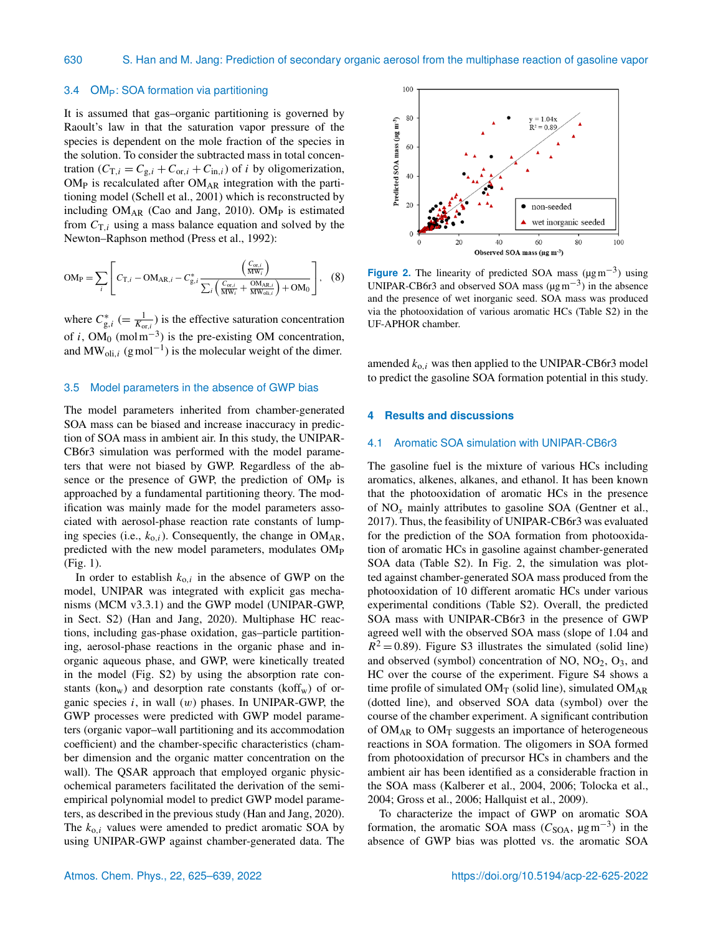#### 3.4 OMP: SOA formation via partitioning

It is assumed that gas–organic partitioning is governed by Raoult's law in that the saturation vapor pressure of the species is dependent on the mole fraction of the species in the solution. To consider the subtracted mass in total concentration ( $C_{T,i} = C_{g,i} + C_{or,i} + C_{in,i}$ ) of *i* by oligomerization,  $OM<sub>P</sub>$  is recalculated after  $OM<sub>AR</sub>$  integration with the partitioning model (Schell et al., 2001) which is reconstructed by including  $OM_{AR}$  (Cao and Jang, 2010). OM<sub>P</sub> is estimated from  $C_{T,i}$  using a mass balance equation and solved by the Newton–Raphson method (Press et al., 1992):

$$
OM_P = \sum_{i} \left[ C_{T,i} - OM_{AR,i} - C_{g,i}^{*} \frac{\left(\frac{C_{or,i}}{MW_{i}}\right)}{\sum_{i} \left(\frac{C_{or,i}}{MW_{i}} + \frac{OM_{AR,i}}{MW_{oli,i}}\right) + OM_{0}} \right], (8)
$$

where  $C_{g,i}^*$  (=  $\frac{1}{K_{\text{or},i}}$ ) is the effective saturation concentration of i, OM<sub>0</sub> (mol m<sup>-3</sup>) is the pre-existing OM concentration, and  $MW_{oli,i}$  (gmol<sup>-1</sup>) is the molecular weight of the dimer.

#### 3.5 Model parameters in the absence of GWP bias

The model parameters inherited from chamber-generated SOA mass can be biased and increase inaccuracy in prediction of SOA mass in ambient air. In this study, the UNIPAR-CB6r3 simulation was performed with the model parameters that were not biased by GWP. Regardless of the absence or the presence of GWP, the prediction of OM<sub>P</sub> is approached by a fundamental partitioning theory. The modification was mainly made for the model parameters associated with aerosol-phase reaction rate constants of lumping species (i.e.,  $k_{0,i}$ ). Consequently, the change in OM<sub>AR</sub>, predicted with the new model parameters, modulates OM<sub>P</sub> (Fig. 1).

In order to establish  $k_{0,i}$  in the absence of GWP on the model, UNIPAR was integrated with explicit gas mechanisms (MCM v3.3.1) and the GWP model (UNIPAR-GWP, in Sect. S2) (Han and Jang, 2020). Multiphase HC reactions, including gas-phase oxidation, gas–particle partitioning, aerosol-phase reactions in the organic phase and inorganic aqueous phase, and GWP, were kinetically treated in the model (Fig. S2) by using the absorption rate constants (kon<sub>w</sub>) and desorption rate constants (koff<sub>w</sub>) of organic species  $i$ , in wall  $(w)$  phases. In UNIPAR-GWP, the GWP processes were predicted with GWP model parameters (organic vapor–wall partitioning and its accommodation coefficient) and the chamber-specific characteristics (chamber dimension and the organic matter concentration on the wall). The QSAR approach that employed organic physicochemical parameters facilitated the derivation of the semiempirical polynomial model to predict GWP model parameters, as described in the previous study (Han and Jang, 2020). The  $k_{0,i}$  values were amended to predict aromatic SOA by using UNIPAR-GWP against chamber-generated data. The



**Figure 2.** The linearity of predicted SOA mass  $(\mu g m^{-3})$  using UNIPAR-CB6r3 and observed SOA mass ( $\mu$ gm<sup>-3</sup>) in the absence and the presence of wet inorganic seed. SOA mass was produced via the photooxidation of various aromatic HCs (Table S2) in the UF-APHOR chamber.

amended  $k_{0,i}$  was then applied to the UNIPAR-CB6r3 model to predict the gasoline SOA formation potential in this study.

### **4 Results and discussions**

#### 4.1 Aromatic SOA simulation with UNIPAR-CB6r3

The gasoline fuel is the mixture of various HCs including aromatics, alkenes, alkanes, and ethanol. It has been known that the photooxidation of aromatic HCs in the presence of NO*x* mainly attributes to gasoline SOA (Gentner et al., 2017). Thus, the feasibility of UNIPAR-CB6r3 was evaluated for the prediction of the SOA formation from photooxidation of aromatic HCs in gasoline against chamber-generated SOA data (Table S2). In Fig. 2, the simulation was plotted against chamber-generated SOA mass produced from the photooxidation of 10 different aromatic HCs under various experimental conditions (Table S2). Overall, the predicted SOA mass with UNIPAR-CB6r3 in the presence of GWP agreed well with the observed SOA mass (slope of 1.04 and  $R^2 = 0.89$ ). Figure S3 illustrates the simulated (solid line) and observed (symbol) concentration of  $NO$ ,  $NO<sub>2</sub>$ ,  $O<sub>3</sub>$ , and HC over the course of the experiment. Figure S4 shows a time profile of simulated  $OM_T$  (solid line), simulated  $OM_{AR}$ (dotted line), and observed SOA data (symbol) over the course of the chamber experiment. A significant contribution of  $OM_{AR}$  to  $OM_T$  suggests an importance of heterogeneous reactions in SOA formation. The oligomers in SOA formed from photooxidation of precursor HCs in chambers and the ambient air has been identified as a considerable fraction in the SOA mass (Kalberer et al., 2004, 2006; Tolocka et al., 2004; Gross et al., 2006; Hallquist et al., 2009).

To characterize the impact of GWP on aromatic SOA formation, the aromatic SOA mass ( $C<sub>SOA</sub>$ ,  $\mu$ gm<sup>-3</sup>) in the absence of GWP bias was plotted vs. the aromatic SOA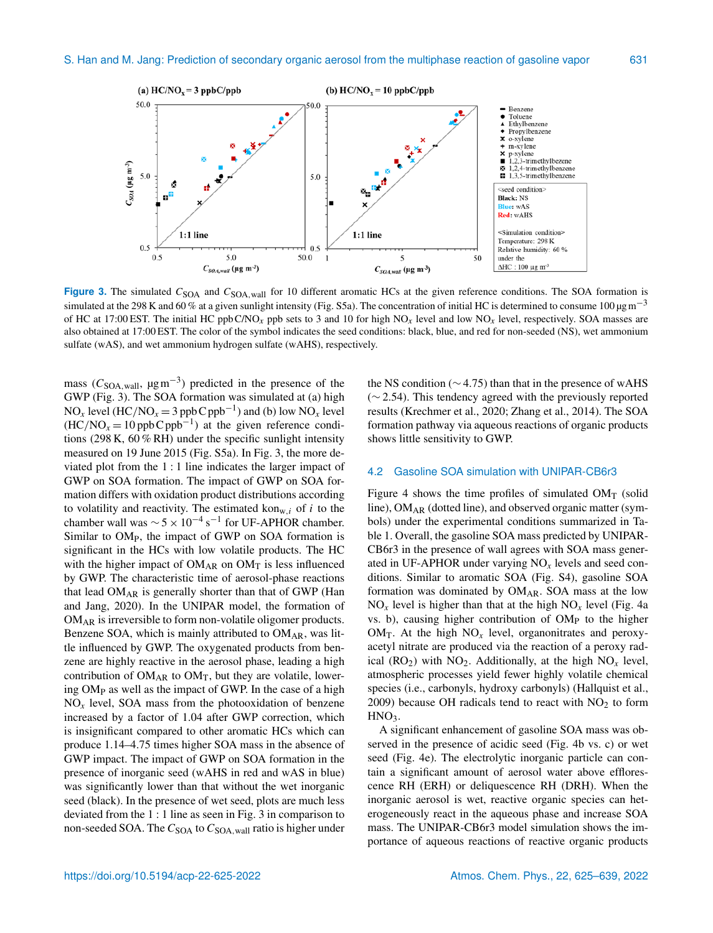

Figure 3. The simulated C<sub>SOA</sub> and C<sub>SOA, wall</sub> for 10 different aromatic HCs at the given reference conditions. The SOA formation is simulated at the 298 K and 60 % at a given sunlight intensity (Fig. S5a). The concentration of initial HC is determined to consume 100  $\mu$ gm<sup>-3</sup> of HC at 17:00 EST. The initial HC ppb C/NO<sub>x</sub> ppb sets to 3 and 10 for high  $NO<sub>x</sub>$  level and low  $NO<sub>x</sub>$  level, respectively. SOA masses are also obtained at 17:00 EST. The color of the symbol indicates the seed conditions: black, blue, and red for non-seeded (NS), wet ammonium sulfate (wAS), and wet ammonium hydrogen sulfate (wAHS), respectively.

mass ( $C<sub>SOA</sub>$ <sub>wall</sub>,  $\mu$ gm<sup>-3</sup>) predicted in the presence of the GWP (Fig. 3). The SOA formation was simulated at (a) high NO<sub>x</sub> level (HC/NO<sub>x</sub> = 3 ppbC ppb<sup>-1</sup>) and (b) low NO<sub>x</sub> level  $(HC/NO<sub>x</sub> = 10$  ppb C ppb<sup>-1</sup>) at the given reference conditions (298 K, 60 % RH) under the specific sunlight intensity measured on 19 June 2015 (Fig. S5a). In Fig. 3, the more deviated plot from the 1 : 1 line indicates the larger impact of GWP on SOA formation. The impact of GWP on SOA formation differs with oxidation product distributions according to volatility and reactivity. The estimated kon<sub>w,i</sub> of i to the chamber wall was  $\sim 5 \times 10^{-4}$  s<sup>-1</sup> for UF-APHOR chamber. Similar to OMP, the impact of GWP on SOA formation is significant in the HCs with low volatile products. The HC with the higher impact of  $OM_{AR}$  on  $OM_T$  is less influenced by GWP. The characteristic time of aerosol-phase reactions that lead OMAR is generally shorter than that of GWP (Han and Jang, 2020). In the UNIPAR model, the formation of OMAR is irreversible to form non-volatile oligomer products. Benzene SOA, which is mainly attributed to  $OM_{AR}$ , was little influenced by GWP. The oxygenated products from benzene are highly reactive in the aerosol phase, leading a high contribution of  $OM_{AR}$  to  $OM_T$ , but they are volatile, lowering OM<sup>P</sup> as well as the impact of GWP. In the case of a high  $NO<sub>x</sub>$  level, SOA mass from the photooxidation of benzene increased by a factor of 1.04 after GWP correction, which is insignificant compared to other aromatic HCs which can produce 1.14–4.75 times higher SOA mass in the absence of GWP impact. The impact of GWP on SOA formation in the presence of inorganic seed (wAHS in red and wAS in blue) was significantly lower than that without the wet inorganic seed (black). In the presence of wet seed, plots are much less deviated from the 1 : 1 line as seen in Fig. 3 in comparison to non-seeded SOA. The  $C<sub>SOA</sub>$  to  $C<sub>SOA</sub>$ , wall ratio is higher under

the NS condition ( $\sim$  4.75) than that in the presence of wAHS (∼ 2.54). This tendency agreed with the previously reported results (Krechmer et al., 2020; Zhang et al., 2014). The SOA formation pathway via aqueous reactions of organic products shows little sensitivity to GWP.

#### 4.2 Gasoline SOA simulation with UNIPAR-CB6r3

Figure 4 shows the time profiles of simulated  $OM<sub>T</sub>$  (solid line),  $OM<sub>AR</sub>$  (dotted line), and observed organic matter (symbols) under the experimental conditions summarized in Table 1. Overall, the gasoline SOA mass predicted by UNIPAR-CB6r3 in the presence of wall agrees with SOA mass generated in UF-APHOR under varying NO*x* levels and seed conditions. Similar to aromatic SOA (Fig. S4), gasoline SOA formation was dominated by  $OM_{AR}$ . SOA mass at the low  $NO<sub>x</sub>$  level is higher than that at the high  $NO<sub>x</sub>$  level (Fig. 4a vs. b), causing higher contribution of OM<sub>P</sub> to the higher  $OM_T$ . At the high  $NO_x$  level, organonitrates and peroxyacetyl nitrate are produced via the reaction of a peroxy radical ( $RO<sub>2</sub>$ ) with  $NO<sub>2</sub>$ . Additionally, at the high  $NO<sub>x</sub>$  level, atmospheric processes yield fewer highly volatile chemical species (i.e., carbonyls, hydroxy carbonyls) (Hallquist et al., 2009) because OH radicals tend to react with  $NO<sub>2</sub>$  to form  $HNO<sub>3</sub>$ .

A significant enhancement of gasoline SOA mass was observed in the presence of acidic seed (Fig. 4b vs. c) or wet seed (Fig. 4e). The electrolytic inorganic particle can contain a significant amount of aerosol water above efflorescence RH (ERH) or deliquescence RH (DRH). When the inorganic aerosol is wet, reactive organic species can heterogeneously react in the aqueous phase and increase SOA mass. The UNIPAR-CB6r3 model simulation shows the importance of aqueous reactions of reactive organic products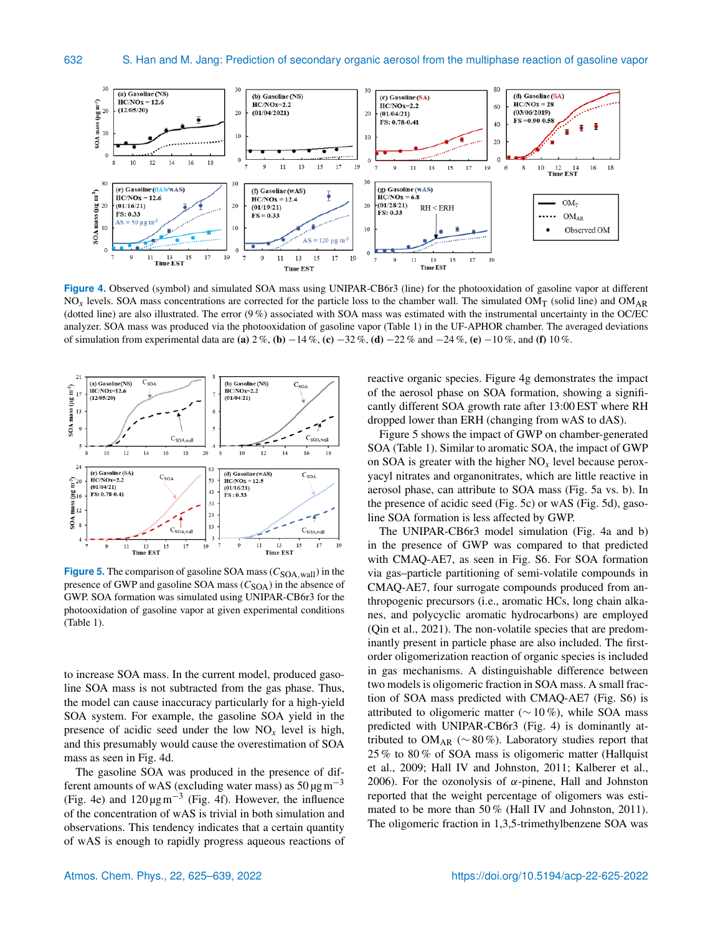

**Figure 4.** Observed (symbol) and simulated SOA mass using UNIPAR-CB6r3 (line) for the photooxidation of gasoline vapor at different  $NO<sub>x</sub>$  levels. SOA mass concentrations are corrected for the particle loss to the chamber wall. The simulated  $OM<sub>T</sub>$  (solid line) and  $OM<sub>AR</sub>$ (dotted line) are also illustrated. The error  $(9\%)$  associated with SOA mass was estimated with the instrumental uncertainty in the OC/EC analyzer. SOA mass was produced via the photooxidation of gasoline vapor (Table 1) in the UF-APHOR chamber. The averaged deviations of simulation from experimental data are (a) 2 %, (b)  $-14$  %, (c)  $-32$  %, (d)  $-22$  % and  $-24$  %, (e)  $-10$  %, and (f) 10 %.



**Figure 5.** The comparison of gasoline SOA mass  $(C_{\text{SOA, wall}})$  in the presence of GWP and gasoline SOA mass  $(C_{\text{SOA}})$  in the absence of GWP. SOA formation was simulated using UNIPAR-CB6r3 for the photooxidation of gasoline vapor at given experimental conditions (Table 1).

to increase SOA mass. In the current model, produced gasoline SOA mass is not subtracted from the gas phase. Thus, the model can cause inaccuracy particularly for a high-yield SOA system. For example, the gasoline SOA yield in the presence of acidic seed under the low  $NO<sub>x</sub>$  level is high, and this presumably would cause the overestimation of SOA mass as seen in Fig. 4d.

The gasoline SOA was produced in the presence of different amounts of wAS (excluding water mass) as  $50 \mu g m^{-3}$ (Fig. 4e) and 120 µgm−<sup>3</sup> (Fig. 4f). However, the influence of the concentration of wAS is trivial in both simulation and observations. This tendency indicates that a certain quantity of wAS is enough to rapidly progress aqueous reactions of reactive organic species. Figure 4g demonstrates the impact of the aerosol phase on SOA formation, showing a significantly different SOA growth rate after 13:00 EST where RH dropped lower than ERH (changing from wAS to dAS).

Figure 5 shows the impact of GWP on chamber-generated SOA (Table 1). Similar to aromatic SOA, the impact of GWP on SOA is greater with the higher  $NO<sub>x</sub>$  level because peroxyacyl nitrates and organonitrates, which are little reactive in aerosol phase, can attribute to SOA mass (Fig. 5a vs. b). In the presence of acidic seed (Fig. 5c) or wAS (Fig. 5d), gasoline SOA formation is less affected by GWP.

The UNIPAR-CB6r3 model simulation (Fig. 4a and b) in the presence of GWP was compared to that predicted with CMAQ-AE7, as seen in Fig. S6. For SOA formation via gas–particle partitioning of semi-volatile compounds in CMAQ-AE7, four surrogate compounds produced from anthropogenic precursors (i.e., aromatic HCs, long chain alkanes, and polycyclic aromatic hydrocarbons) are employed (Qin et al., 2021). The non-volatile species that are predominantly present in particle phase are also included. The firstorder oligomerization reaction of organic species is included in gas mechanisms. A distinguishable difference between two models is oligomeric fraction in SOA mass. A small fraction of SOA mass predicted with CMAQ-AE7 (Fig. S6) is attributed to oligomeric matter ( $\sim$  10%), while SOA mass predicted with UNIPAR-CB6r3 (Fig. 4) is dominantly attributed to OM<sub>AR</sub> ( $\sim$  80 %). Laboratory studies report that 25 % to 80 % of SOA mass is oligomeric matter (Hallquist et al., 2009; Hall IV and Johnston, 2011; Kalberer et al., 2006). For the ozonolysis of  $\alpha$ -pinene, Hall and Johnston reported that the weight percentage of oligomers was estimated to be more than 50 % (Hall IV and Johnston, 2011). The oligomeric fraction in 1,3,5-trimethylbenzene SOA was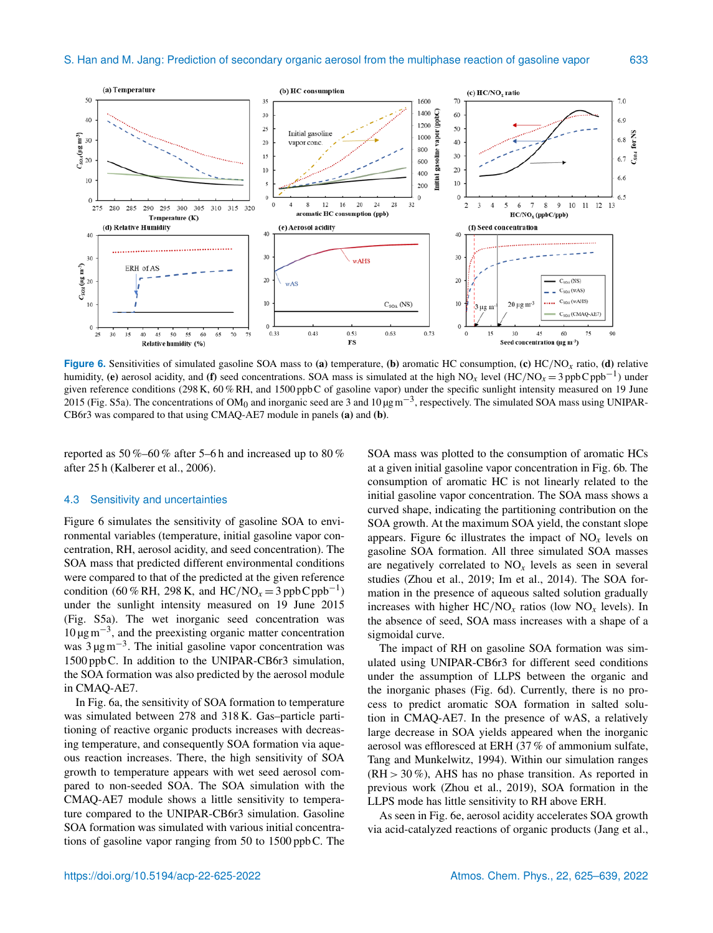

**Figure 6.** Sensitivities of simulated gasoline SOA mass to (a) temperature, (b) aromatic HC consumption, (c) HC/NO<sub>x</sub> ratio, (d) relative humidity, (e) aerosol acidity, and (f) seed concentrations. SOA mass is simulated at the high NO<sub>x</sub> level (HC/NO<sub>x</sub> = 3 ppbC ppb<sup>-1</sup>) under given reference conditions (298 K, 60 % RH, and 1500 ppbC of gasoline vapor) under the specific sunlight intensity measured on 19 June 2015 (Fig. S5a). The concentrations of OM<sub>0</sub> and inorganic seed are 3 and  $10 \mu g m^{-3}$ , respectively. The simulated SOA mass using UNIPAR-CB6r3 was compared to that using CMAQ-AE7 module in panels (a) and (b).

reported as 50 %–60 % after 5–6 h and increased up to 80 % after 25 h (Kalberer et al., 2006).

#### 4.3 Sensitivity and uncertainties

Figure 6 simulates the sensitivity of gasoline SOA to environmental variables (temperature, initial gasoline vapor concentration, RH, aerosol acidity, and seed concentration). The SOA mass that predicted different environmental conditions were compared to that of the predicted at the given reference condition (60 % RH, 298 K, and HC/NO<sub>x</sub> = 3 ppbC ppb<sup>-1</sup>) under the sunlight intensity measured on 19 June 2015 (Fig. S5a). The wet inorganic seed concentration was 10 µgm−<sup>3</sup> , and the preexisting organic matter concentration was 3 μg m<sup>-3</sup>. The initial gasoline vapor concentration was 1500 ppbC. In addition to the UNIPAR-CB6r3 simulation, the SOA formation was also predicted by the aerosol module in CMAQ-AE7.

In Fig. 6a, the sensitivity of SOA formation to temperature was simulated between 278 and 318 K. Gas–particle partitioning of reactive organic products increases with decreasing temperature, and consequently SOA formation via aqueous reaction increases. There, the high sensitivity of SOA growth to temperature appears with wet seed aerosol compared to non-seeded SOA. The SOA simulation with the CMAQ-AE7 module shows a little sensitivity to temperature compared to the UNIPAR-CB6r3 simulation. Gasoline SOA formation was simulated with various initial concentrations of gasoline vapor ranging from 50 to 1500 ppbC. The SOA mass was plotted to the consumption of aromatic HCs at a given initial gasoline vapor concentration in Fig. 6b. The consumption of aromatic HC is not linearly related to the initial gasoline vapor concentration. The SOA mass shows a curved shape, indicating the partitioning contribution on the SOA growth. At the maximum SOA yield, the constant slope appears. Figure 6c illustrates the impact of  $NO<sub>x</sub>$  levels on gasoline SOA formation. All three simulated SOA masses are negatively correlated to  $NO<sub>x</sub>$  levels as seen in several studies (Zhou et al., 2019; Im et al., 2014). The SOA formation in the presence of aqueous salted solution gradually increases with higher  $HC/NO<sub>x</sub>$  ratios (low  $NO<sub>x</sub>$  levels). In the absence of seed, SOA mass increases with a shape of a sigmoidal curve.

The impact of RH on gasoline SOA formation was simulated using UNIPAR-CB6r3 for different seed conditions under the assumption of LLPS between the organic and the inorganic phases (Fig. 6d). Currently, there is no process to predict aromatic SOA formation in salted solution in CMAQ-AE7. In the presence of wAS, a relatively large decrease in SOA yields appeared when the inorganic aerosol was effloresced at ERH (37 % of ammonium sulfate, Tang and Munkelwitz, 1994). Within our simulation ranges (RH > 30 %), AHS has no phase transition. As reported in previous work (Zhou et al., 2019), SOA formation in the LLPS mode has little sensitivity to RH above ERH.

As seen in Fig. 6e, aerosol acidity accelerates SOA growth via acid-catalyzed reactions of organic products (Jang et al.,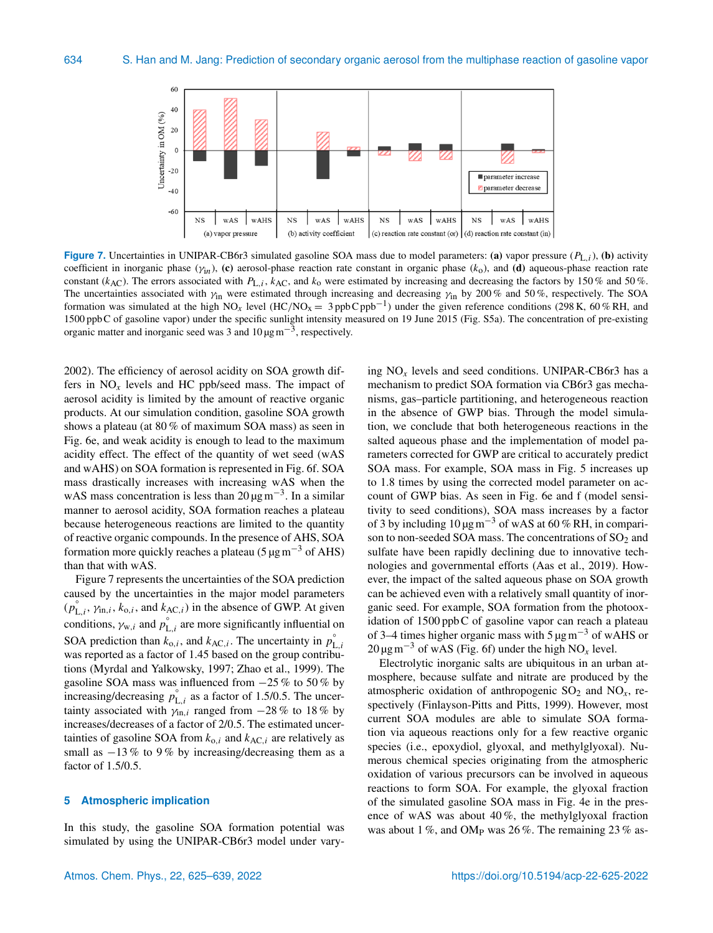

**Figure 7.** Uncertainties in UNIPAR-CB6r3 simulated gasoline SOA mass due to model parameters: (a) vapor pressure  $(P_{L,i})$ , (b) activity coefficient in inorganic phase ( $\gamma_{in}$ ), (c) aerosol-phase reaction rate constant in organic phase ( $k_0$ ), and (d) aqueous-phase reaction rate constant (k<sub>AC</sub>). The errors associated with  $P_{L,i}$ , k<sub>AC</sub>, and k<sub>o</sub> were estimated by increasing and decreasing the factors by 150 % and 50 %. The uncertainties associated with  $\gamma_{\text{in}}$  were estimated through increasing and decreasing  $\gamma_{\text{in}}$  by 200 % and 50 %, respectively. The SOA formation was simulated at the high NO<sub>x</sub> level (HC/NO<sub>x</sub> = 3 ppbCppb<sup>-1</sup>) under the given reference conditions (298 K, 60 % RH, and 1500 ppbC of gasoline vapor) under the specific sunlight intensity measured on 19 June 2015 (Fig. S5a). The concentration of pre-existing organic matter and inorganic seed was 3 and  $10 \mu g m^{-3}$ , respectively.

2002). The efficiency of aerosol acidity on SOA growth differs in  $NO<sub>x</sub>$  levels and HC ppb/seed mass. The impact of aerosol acidity is limited by the amount of reactive organic products. At our simulation condition, gasoline SOA growth shows a plateau (at 80 % of maximum SOA mass) as seen in Fig. 6e, and weak acidity is enough to lead to the maximum acidity effect. The effect of the quantity of wet seed (wAS and wAHS) on SOA formation is represented in Fig. 6f. SOA mass drastically increases with increasing wAS when the wAS mass concentration is less than  $20 \mu g m^{-3}$ . In a similar manner to aerosol acidity, SOA formation reaches a plateau because heterogeneous reactions are limited to the quantity of reactive organic compounds. In the presence of AHS, SOA formation more quickly reaches a plateau ( $5 \mu g m^{-3}$  of AHS) than that with wAS.

Figure 7 represents the uncertainties of the SOA prediction caused by the uncertainties in the major model parameters  $(p_{L,i}^{\circ}, \gamma_{\text{in},i}, k_{o,i}, \text{and } k_{\text{AC},i})$  in the absence of GWP. At given conditions,  $\gamma_{w,i}$  and  $p_{L,i}^{\circ}$  are more significantly influential on SOA prediction than  $k_{0,i}$ , and  $k_{AC,i}$ . The uncertainty in  $p_I^{\circ}$ L,i was reported as a factor of 1.45 based on the group contributions (Myrdal and Yalkowsky, 1997; Zhao et al., 1999). The gasoline SOA mass was influenced from  $-25\%$  to 50% by increasing/decreasing  $p_{L,i}^{\circ}$  as a factor of 1.5/0.5. The uncertainty associated with  $\gamma_{\text{in},i}$  ranged from  $-28\%$  to 18% by increases/decreases of a factor of 2/0.5. The estimated uncertainties of gasoline SOA from  $k_{0,i}$  and  $k_{AC,i}$  are relatively as small as  $-13\%$  to 9% by increasing/decreasing them as a factor of 1.5/0.5.

#### **5 Atmospheric implication**

In this study, the gasoline SOA formation potential was simulated by using the UNIPAR-CB6r3 model under varying  $NO<sub>x</sub>$  levels and seed conditions. UNIPAR-CB6r3 has a mechanism to predict SOA formation via CB6r3 gas mechanisms, gas–particle partitioning, and heterogeneous reaction in the absence of GWP bias. Through the model simulation, we conclude that both heterogeneous reactions in the salted aqueous phase and the implementation of model parameters corrected for GWP are critical to accurately predict SOA mass. For example, SOA mass in Fig. 5 increases up to 1.8 times by using the corrected model parameter on account of GWP bias. As seen in Fig. 6e and f (model sensitivity to seed conditions), SOA mass increases by a factor of 3 by including  $10 \mu g m^{-3}$  of wAS at 60 % RH, in comparison to non-seeded SOA mass. The concentrations of  $SO<sub>2</sub>$  and sulfate have been rapidly declining due to innovative technologies and governmental efforts (Aas et al., 2019). However, the impact of the salted aqueous phase on SOA growth can be achieved even with a relatively small quantity of inorganic seed. For example, SOA formation from the photooxidation of 1500 ppbC of gasoline vapor can reach a plateau of 3–4 times higher organic mass with 5  $\mu$ gm<sup>-3</sup> of wAHS or 20 µgm−<sup>3</sup> of wAS (Fig. 6f) under the high NO*<sup>x</sup>* level.

Electrolytic inorganic salts are ubiquitous in an urban atmosphere, because sulfate and nitrate are produced by the atmospheric oxidation of anthropogenic  $SO_2$  and  $NO_x$ , respectively (Finlayson-Pitts and Pitts, 1999). However, most current SOA modules are able to simulate SOA formation via aqueous reactions only for a few reactive organic species (i.e., epoxydiol, glyoxal, and methylglyoxal). Numerous chemical species originating from the atmospheric oxidation of various precursors can be involved in aqueous reactions to form SOA. For example, the glyoxal fraction of the simulated gasoline SOA mass in Fig. 4e in the presence of wAS was about 40 %, the methylglyoxal fraction was about 1 %, and OM<sub>P</sub> was 26 %. The remaining 23 % as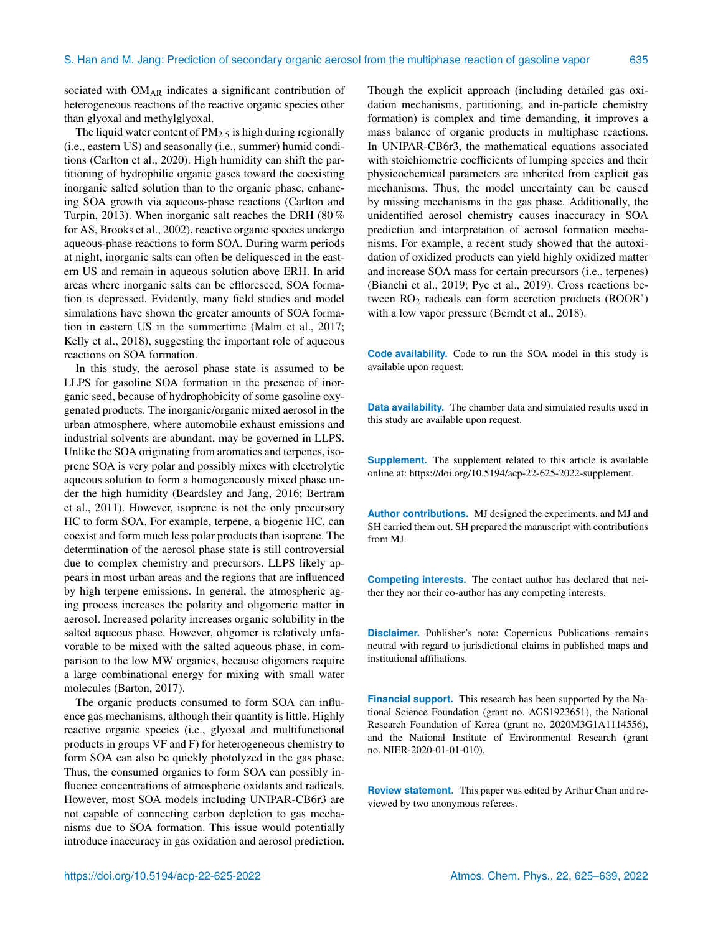sociated with OM<sub>AR</sub> indicates a significant contribution of heterogeneous reactions of the reactive organic species other than glyoxal and methylglyoxal.

The liquid water content of  $PM<sub>2.5</sub>$  is high during regionally (i.e., eastern US) and seasonally (i.e., summer) humid conditions (Carlton et al., 2020). High humidity can shift the partitioning of hydrophilic organic gases toward the coexisting inorganic salted solution than to the organic phase, enhancing SOA growth via aqueous-phase reactions (Carlton and Turpin, 2013). When inorganic salt reaches the DRH (80 % for AS, Brooks et al., 2002), reactive organic species undergo aqueous-phase reactions to form SOA. During warm periods at night, inorganic salts can often be deliquesced in the eastern US and remain in aqueous solution above ERH. In arid areas where inorganic salts can be effloresced, SOA formation is depressed. Evidently, many field studies and model simulations have shown the greater amounts of SOA formation in eastern US in the summertime (Malm et al., 2017; Kelly et al., 2018), suggesting the important role of aqueous reactions on SOA formation.

In this study, the aerosol phase state is assumed to be LLPS for gasoline SOA formation in the presence of inorganic seed, because of hydrophobicity of some gasoline oxygenated products. The inorganic/organic mixed aerosol in the urban atmosphere, where automobile exhaust emissions and industrial solvents are abundant, may be governed in LLPS. Unlike the SOA originating from aromatics and terpenes, isoprene SOA is very polar and possibly mixes with electrolytic aqueous solution to form a homogeneously mixed phase under the high humidity (Beardsley and Jang, 2016; Bertram et al., 2011). However, isoprene is not the only precursory HC to form SOA. For example, terpene, a biogenic HC, can coexist and form much less polar products than isoprene. The determination of the aerosol phase state is still controversial due to complex chemistry and precursors. LLPS likely appears in most urban areas and the regions that are influenced by high terpene emissions. In general, the atmospheric aging process increases the polarity and oligomeric matter in aerosol. Increased polarity increases organic solubility in the salted aqueous phase. However, oligomer is relatively unfavorable to be mixed with the salted aqueous phase, in comparison to the low MW organics, because oligomers require a large combinational energy for mixing with small water molecules (Barton, 2017).

The organic products consumed to form SOA can influence gas mechanisms, although their quantity is little. Highly reactive organic species (i.e., glyoxal and multifunctional products in groups VF and F) for heterogeneous chemistry to form SOA can also be quickly photolyzed in the gas phase. Thus, the consumed organics to form SOA can possibly influence concentrations of atmospheric oxidants and radicals. However, most SOA models including UNIPAR-CB6r3 are not capable of connecting carbon depletion to gas mechanisms due to SOA formation. This issue would potentially introduce inaccuracy in gas oxidation and aerosol prediction. Though the explicit approach (including detailed gas oxidation mechanisms, partitioning, and in-particle chemistry formation) is complex and time demanding, it improves a mass balance of organic products in multiphase reactions. In UNIPAR-CB6r3, the mathematical equations associated with stoichiometric coefficients of lumping species and their physicochemical parameters are inherited from explicit gas mechanisms. Thus, the model uncertainty can be caused by missing mechanisms in the gas phase. Additionally, the unidentified aerosol chemistry causes inaccuracy in SOA prediction and interpretation of aerosol formation mechanisms. For example, a recent study showed that the autoxidation of oxidized products can yield highly oxidized matter and increase SOA mass for certain precursors (i.e., terpenes) (Bianchi et al., 2019; Pye et al., 2019). Cross reactions between  $RO<sub>2</sub>$  radicals can form accretion products ( $ROOR'$ ) with a low vapor pressure (Berndt et al., 2018).

**Code availability.** Code to run the SOA model in this study is available upon request.

**Data availability.** The chamber data and simulated results used in this study are available upon request.

**Supplement.** The supplement related to this article is available online at: [https://doi.org/10.5194/acp-22-625-2022-supplement.](https://doi.org/10.5194/acp-22-625-2022-supplement)

**Author contributions.** MJ designed the experiments, and MJ and SH carried them out. SH prepared the manuscript with contributions from MJ.

**Competing interests.** The contact author has declared that neither they nor their co-author has any competing interests.

**Disclaimer.** Publisher's note: Copernicus Publications remains neutral with regard to jurisdictional claims in published maps and institutional affiliations.

**Financial support.** This research has been supported by the National Science Foundation (grant no. AGS1923651), the National Research Foundation of Korea (grant no. 2020M3G1A1114556), and the National Institute of Environmental Research (grant no. NIER-2020-01-01-010).

**Review statement.** This paper was edited by Arthur Chan and reviewed by two anonymous referees.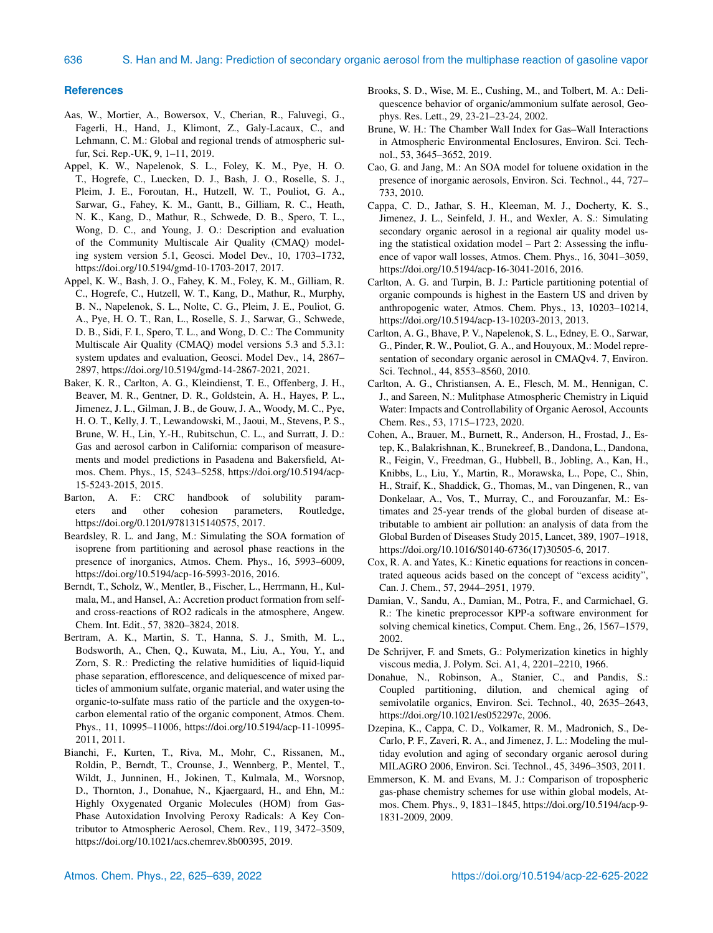#### **References**

- Aas, W., Mortier, A., Bowersox, V., Cherian, R., Faluvegi, G., Fagerli, H., Hand, J., Klimont, Z., Galy-Lacaux, C., and Lehmann, C. M.: Global and regional trends of atmospheric sulfur, Sci. Rep.-UK, 9, 1–11, 2019.
- Appel, K. W., Napelenok, S. L., Foley, K. M., Pye, H. O. T., Hogrefe, C., Luecken, D. J., Bash, J. O., Roselle, S. J., Pleim, J. E., Foroutan, H., Hutzell, W. T., Pouliot, G. A., Sarwar, G., Fahey, K. M., Gantt, B., Gilliam, R. C., Heath, N. K., Kang, D., Mathur, R., Schwede, D. B., Spero, T. L., Wong, D. C., and Young, J. O.: Description and evaluation of the Community Multiscale Air Quality (CMAQ) modeling system version 5.1, Geosci. Model Dev., 10, 1703–1732, https://doi.org[/10.5194/gmd-10-1703-2017,](https://doi.org/10.5194/gmd-10-1703-2017) 2017.
- Appel, K. W., Bash, J. O., Fahey, K. M., Foley, K. M., Gilliam, R. C., Hogrefe, C., Hutzell, W. T., Kang, D., Mathur, R., Murphy, B. N., Napelenok, S. L., Nolte, C. G., Pleim, J. E., Pouliot, G. A., Pye, H. O. T., Ran, L., Roselle, S. J., Sarwar, G., Schwede, D. B., Sidi, F. I., Spero, T. L., and Wong, D. C.: The Community Multiscale Air Quality (CMAQ) model versions 5.3 and 5.3.1: system updates and evaluation, Geosci. Model Dev., 14, 2867– 2897, https://doi.org[/10.5194/gmd-14-2867-2021,](https://doi.org/10.5194/gmd-14-2867-2021) 2021.
- Baker, K. R., Carlton, A. G., Kleindienst, T. E., Offenberg, J. H., Beaver, M. R., Gentner, D. R., Goldstein, A. H., Hayes, P. L., Jimenez, J. L., Gilman, J. B., de Gouw, J. A., Woody, M. C., Pye, H. O. T., Kelly, J. T., Lewandowski, M., Jaoui, M., Stevens, P. S., Brune, W. H., Lin, Y.-H., Rubitschun, C. L., and Surratt, J. D.: Gas and aerosol carbon in California: comparison of measurements and model predictions in Pasadena and Bakersfield, Atmos. Chem. Phys., 15, 5243–5258, https://doi.org[/10.5194/acp-](https://doi.org/10.5194/acp-15-5243-2015)[15-5243-2015,](https://doi.org/10.5194/acp-15-5243-2015) 2015.
- Barton, A. F.: CRC handbook of solubility parameters and other cohesion parameters, Routledge, https://doi.org[/0.1201/9781315140575,](https://doi.org/0.1201/9781315140575) 2017.
- Beardsley, R. L. and Jang, M.: Simulating the SOA formation of isoprene from partitioning and aerosol phase reactions in the presence of inorganics, Atmos. Chem. Phys., 16, 5993–6009, https://doi.org[/10.5194/acp-16-5993-2016,](https://doi.org/10.5194/acp-16-5993-2016) 2016.
- Berndt, T., Scholz, W., Mentler, B., Fischer, L., Herrmann, H., Kulmala, M., and Hansel, A.: Accretion product formation from selfand cross-reactions of RO2 radicals in the atmosphere, Angew. Chem. Int. Edit., 57, 3820–3824, 2018.
- Bertram, A. K., Martin, S. T., Hanna, S. J., Smith, M. L., Bodsworth, A., Chen, Q., Kuwata, M., Liu, A., You, Y., and Zorn, S. R.: Predicting the relative humidities of liquid-liquid phase separation, efflorescence, and deliquescence of mixed particles of ammonium sulfate, organic material, and water using the organic-to-sulfate mass ratio of the particle and the oxygen-tocarbon elemental ratio of the organic component, Atmos. Chem. Phys., 11, 10995–11006, https://doi.org[/10.5194/acp-11-10995-](https://doi.org/10.5194/acp-11-10995-2011) [2011,](https://doi.org/10.5194/acp-11-10995-2011) 2011.
- Bianchi, F., Kurten, T., Riva, M., Mohr, C., Rissanen, M., Roldin, P., Berndt, T., Crounse, J., Wennberg, P., Mentel, T., Wildt, J., Junninen, H., Jokinen, T., Kulmala, M., Worsnop, D., Thornton, J., Donahue, N., Kjaergaard, H., and Ehn, M.: Highly Oxygenated Organic Molecules (HOM) from Gas-Phase Autoxidation Involving Peroxy Radicals: A Key Contributor to Atmospheric Aerosol, Chem. Rev., 119, 3472–3509, https://doi.org[/10.1021/acs.chemrev.8b00395,](https://doi.org/10.1021/acs.chemrev.8b00395) 2019.
- Brooks, S. D., Wise, M. E., Cushing, M., and Tolbert, M. A.: Deliquescence behavior of organic/ammonium sulfate aerosol, Geophys. Res. Lett., 29, 23-21–23-24, 2002.
- Brune, W. H.: The Chamber Wall Index for Gas–Wall Interactions in Atmospheric Environmental Enclosures, Environ. Sci. Technol., 53, 3645–3652, 2019.
- Cao, G. and Jang, M.: An SOA model for toluene oxidation in the presence of inorganic aerosols, Environ. Sci. Technol., 44, 727– 733, 2010.
- Cappa, C. D., Jathar, S. H., Kleeman, M. J., Docherty, K. S., Jimenez, J. L., Seinfeld, J. H., and Wexler, A. S.: Simulating secondary organic aerosol in a regional air quality model using the statistical oxidation model – Part 2: Assessing the influence of vapor wall losses, Atmos. Chem. Phys., 16, 3041–3059, https://doi.org[/10.5194/acp-16-3041-2016,](https://doi.org/10.5194/acp-16-3041-2016) 2016.
- Carlton, A. G. and Turpin, B. J.: Particle partitioning potential of organic compounds is highest in the Eastern US and driven by anthropogenic water, Atmos. Chem. Phys., 13, 10203–10214, https://doi.org[/10.5194/acp-13-10203-2013,](https://doi.org/10.5194/acp-13-10203-2013) 2013.
- Carlton, A. G., Bhave, P. V., Napelenok, S. L., Edney, E. O., Sarwar, G., Pinder, R. W., Pouliot, G. A., and Houyoux, M.: Model representation of secondary organic aerosol in CMAQv4. 7, Environ. Sci. Technol., 44, 8553–8560, 2010.
- Carlton, A. G., Christiansen, A. E., Flesch, M. M., Hennigan, C. J., and Sareen, N.: Mulitphase Atmospheric Chemistry in Liquid Water: Impacts and Controllability of Organic Aerosol, Accounts Chem. Res., 53, 1715–1723, 2020.
- Cohen, A., Brauer, M., Burnett, R., Anderson, H., Frostad, J., Estep, K., Balakrishnan, K., Brunekreef, B., Dandona, L., Dandona, R., Feigin, V., Freedman, G., Hubbell, B., Jobling, A., Kan, H., Knibbs, L., Liu, Y., Martin, R., Morawska, L., Pope, C., Shin, H., Straif, K., Shaddick, G., Thomas, M., van Dingenen, R., van Donkelaar, A., Vos, T., Murray, C., and Forouzanfar, M.: Estimates and 25-year trends of the global burden of disease attributable to ambient air pollution: an analysis of data from the Global Burden of Diseases Study 2015, Lancet, 389, 1907–1918, https://doi.org[/10.1016/S0140-6736\(17\)30505-6,](https://doi.org/10.1016/S0140-6736(17)30505-6) 2017.
- Cox, R. A. and Yates, K.: Kinetic equations for reactions in concentrated aqueous acids based on the concept of "excess acidity", Can. J. Chem., 57, 2944–2951, 1979.
- Damian, V., Sandu, A., Damian, M., Potra, F., and Carmichael, G. R.: The kinetic preprocessor KPP-a software environment for solving chemical kinetics, Comput. Chem. Eng., 26, 1567–1579, 2002.
- De Schrijver, F. and Smets, G.: Polymerization kinetics in highly viscous media, J. Polym. Sci. A1, 4, 2201–2210, 1966.
- Donahue, N., Robinson, A., Stanier, C., and Pandis, S.: Coupled partitioning, dilution, and chemical aging of semivolatile organics, Environ. Sci. Technol., 40, 2635–2643, https://doi.org[/10.1021/es052297c,](https://doi.org/10.1021/es052297c) 2006.
- Dzepina, K., Cappa, C. D., Volkamer, R. M., Madronich, S., De-Carlo, P. F., Zaveri, R. A., and Jimenez, J. L.: Modeling the multiday evolution and aging of secondary organic aerosol during MILAGRO 2006, Environ. Sci. Technol., 45, 3496–3503, 2011.
- Emmerson, K. M. and Evans, M. J.: Comparison of tropospheric gas-phase chemistry schemes for use within global models, Atmos. Chem. Phys., 9, 1831–1845, https://doi.org[/10.5194/acp-9-](https://doi.org/10.5194/acp-9-1831-2009) [1831-2009,](https://doi.org/10.5194/acp-9-1831-2009) 2009.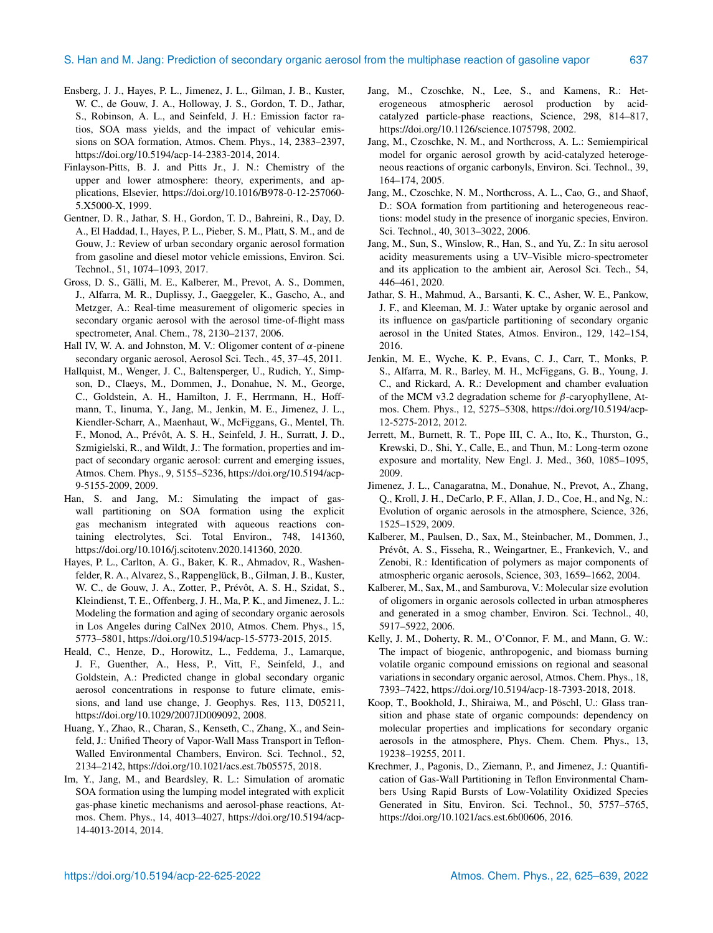- Ensberg, J. J., Hayes, P. L., Jimenez, J. L., Gilman, J. B., Kuster, W. C., de Gouw, J. A., Holloway, J. S., Gordon, T. D., Jathar, S., Robinson, A. L., and Seinfeld, J. H.: Emission factor ratios, SOA mass yields, and the impact of vehicular emissions on SOA formation, Atmos. Chem. Phys., 14, 2383–2397, https://doi.org[/10.5194/acp-14-2383-2014,](https://doi.org/10.5194/acp-14-2383-2014) 2014.
- Finlayson-Pitts, B. J. and Pitts Jr., J. N.: Chemistry of the upper and lower atmosphere: theory, experiments, and applications, Elsevier, https://doi.org[/10.1016/B978-0-12-257060-](https://doi.org/10.1016/B978-0-12-257060-5.X5000-X) [5.X5000-X,](https://doi.org/10.1016/B978-0-12-257060-5.X5000-X) 1999.
- Gentner, D. R., Jathar, S. H., Gordon, T. D., Bahreini, R., Day, D. A., El Haddad, I., Hayes, P. L., Pieber, S. M., Platt, S. M., and de Gouw, J.: Review of urban secondary organic aerosol formation from gasoline and diesel motor vehicle emissions, Environ. Sci. Technol., 51, 1074–1093, 2017.
- Gross, D. S., Gälli, M. E., Kalberer, M., Prevot, A. S., Dommen, J., Alfarra, M. R., Duplissy, J., Gaeggeler, K., Gascho, A., and Metzger, A.: Real-time measurement of oligomeric species in secondary organic aerosol with the aerosol time-of-flight mass spectrometer, Anal. Chem., 78, 2130–2137, 2006.
- Hall IV, W. A. and Johnston, M. V.: Oligomer content of  $\alpha$ -pinene secondary organic aerosol, Aerosol Sci. Tech., 45, 37–45, 2011.
- Hallquist, M., Wenger, J. C., Baltensperger, U., Rudich, Y., Simpson, D., Claeys, M., Dommen, J., Donahue, N. M., George, C., Goldstein, A. H., Hamilton, J. F., Herrmann, H., Hoffmann, T., Iinuma, Y., Jang, M., Jenkin, M. E., Jimenez, J. L., Kiendler-Scharr, A., Maenhaut, W., McFiggans, G., Mentel, Th. F., Monod, A., Prévôt, A. S. H., Seinfeld, J. H., Surratt, J. D., Szmigielski, R., and Wildt, J.: The formation, properties and impact of secondary organic aerosol: current and emerging issues, Atmos. Chem. Phys., 9, 5155–5236, https://doi.org[/10.5194/acp-](https://doi.org/10.5194/acp-9-5155-2009)[9-5155-2009,](https://doi.org/10.5194/acp-9-5155-2009) 2009.
- Han, S. and Jang, M.: Simulating the impact of gaswall partitioning on SOA formation using the explicit gas mechanism integrated with aqueous reactions containing electrolytes, Sci. Total Environ., 748, 141360, https://doi.org[/10.1016/j.scitotenv.2020.141360,](https://doi.org/10.1016/j.scitotenv.2020.141360) 2020.
- Hayes, P. L., Carlton, A. G., Baker, K. R., Ahmadov, R., Washenfelder, R. A., Alvarez, S., Rappenglück, B., Gilman, J. B., Kuster, W. C., de Gouw, J. A., Zotter, P., Prévôt, A. S. H., Szidat, S., Kleindienst, T. E., Offenberg, J. H., Ma, P. K., and Jimenez, J. L.: Modeling the formation and aging of secondary organic aerosols in Los Angeles during CalNex 2010, Atmos. Chem. Phys., 15, 5773–5801, https://doi.org[/10.5194/acp-15-5773-2015,](https://doi.org/10.5194/acp-15-5773-2015) 2015.
- Heald, C., Henze, D., Horowitz, L., Feddema, J., Lamarque, J. F., Guenther, A., Hess, P., Vitt, F., Seinfeld, J., and Goldstein, A.: Predicted change in global secondary organic aerosol concentrations in response to future climate, emissions, and land use change, J. Geophys. Res, 113, D05211, https://doi.org[/10.1029/2007JD009092,](https://doi.org/10.1029/2007JD009092) 2008.
- Huang, Y., Zhao, R., Charan, S., Kenseth, C., Zhang, X., and Seinfeld, J.: Unified Theory of Vapor-Wall Mass Transport in Teflon-Walled Environmental Chambers, Environ. Sci. Technol., 52, 2134–2142, https://doi.org[/10.1021/acs.est.7b05575,](https://doi.org/10.1021/acs.est.7b05575) 2018.
- Im, Y., Jang, M., and Beardsley, R. L.: Simulation of aromatic SOA formation using the lumping model integrated with explicit gas-phase kinetic mechanisms and aerosol-phase reactions, Atmos. Chem. Phys., 14, 4013–4027, https://doi.org[/10.5194/acp-](https://doi.org/10.5194/acp-14-4013-2014)[14-4013-2014,](https://doi.org/10.5194/acp-14-4013-2014) 2014.
- Jang, M., Czoschke, N., Lee, S., and Kamens, R.: Heterogeneous atmospheric aerosol production by acidcatalyzed particle-phase reactions, Science, 298, 814–817, https://doi.org[/10.1126/science.1075798,](https://doi.org/10.1126/science.1075798) 2002.
- Jang, M., Czoschke, N. M., and Northcross, A. L.: Semiempirical model for organic aerosol growth by acid-catalyzed heterogeneous reactions of organic carbonyls, Environ. Sci. Technol., 39, 164–174, 2005.
- Jang, M., Czoschke, N. M., Northcross, A. L., Cao, G., and Shaof, D.: SOA formation from partitioning and heterogeneous reactions: model study in the presence of inorganic species, Environ. Sci. Technol., 40, 3013–3022, 2006.
- Jang, M., Sun, S., Winslow, R., Han, S., and Yu, Z.: In situ aerosol acidity measurements using a UV–Visible micro-spectrometer and its application to the ambient air, Aerosol Sci. Tech., 54, 446–461, 2020.
- Jathar, S. H., Mahmud, A., Barsanti, K. C., Asher, W. E., Pankow, J. F., and Kleeman, M. J.: Water uptake by organic aerosol and its influence on gas/particle partitioning of secondary organic aerosol in the United States, Atmos. Environ., 129, 142–154, 2016.
- Jenkin, M. E., Wyche, K. P., Evans, C. J., Carr, T., Monks, P. S., Alfarra, M. R., Barley, M. H., McFiggans, G. B., Young, J. C., and Rickard, A. R.: Development and chamber evaluation of the MCM v3.2 degradation scheme for  $\beta$ -caryophyllene, Atmos. Chem. Phys., 12, 5275–5308, https://doi.org[/10.5194/acp-](https://doi.org/10.5194/acp-12-5275-2012)[12-5275-2012,](https://doi.org/10.5194/acp-12-5275-2012) 2012.
- Jerrett, M., Burnett, R. T., Pope III, C. A., Ito, K., Thurston, G., Krewski, D., Shi, Y., Calle, E., and Thun, M.: Long-term ozone exposure and mortality, New Engl. J. Med., 360, 1085–1095, 2009.
- Jimenez, J. L., Canagaratna, M., Donahue, N., Prevot, A., Zhang, Q., Kroll, J. H., DeCarlo, P. F., Allan, J. D., Coe, H., and Ng, N.: Evolution of organic aerosols in the atmosphere, Science, 326, 1525–1529, 2009.
- Kalberer, M., Paulsen, D., Sax, M., Steinbacher, M., Dommen, J., Prévôt, A. S., Fisseha, R., Weingartner, E., Frankevich, V., and Zenobi, R.: Identification of polymers as major components of atmospheric organic aerosols, Science, 303, 1659–1662, 2004.
- Kalberer, M., Sax, M., and Samburova, V.: Molecular size evolution of oligomers in organic aerosols collected in urban atmospheres and generated in a smog chamber, Environ. Sci. Technol., 40, 5917–5922, 2006.
- Kelly, J. M., Doherty, R. M., O'Connor, F. M., and Mann, G. W.: The impact of biogenic, anthropogenic, and biomass burning volatile organic compound emissions on regional and seasonal variations in secondary organic aerosol, Atmos. Chem. Phys., 18, 7393–7422, https://doi.org[/10.5194/acp-18-7393-2018,](https://doi.org/10.5194/acp-18-7393-2018) 2018.
- Koop, T., Bookhold, J., Shiraiwa, M., and Pöschl, U.: Glass transition and phase state of organic compounds: dependency on molecular properties and implications for secondary organic aerosols in the atmosphere, Phys. Chem. Chem. Phys., 13, 19238–19255, 2011.
- Krechmer, J., Pagonis, D., Ziemann, P., and Jimenez, J.: Quantification of Gas-Wall Partitioning in Teflon Environmental Chambers Using Rapid Bursts of Low-Volatility Oxidized Species Generated in Situ, Environ. Sci. Technol., 50, 5757–5765, https://doi.org[/10.1021/acs.est.6b00606,](https://doi.org/10.1021/acs.est.6b00606) 2016.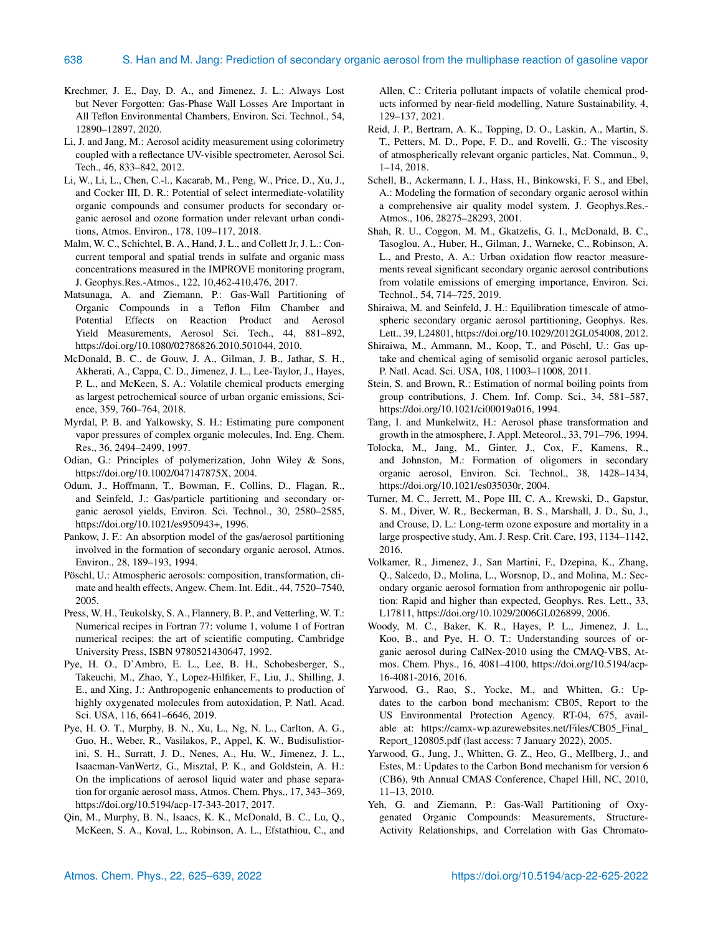- Krechmer, J. E., Day, D. A., and Jimenez, J. L.: Always Lost but Never Forgotten: Gas-Phase Wall Losses Are Important in All Teflon Environmental Chambers, Environ. Sci. Technol., 54, 12890–12897, 2020.
- Li, J. and Jang, M.: Aerosol acidity measurement using colorimetry coupled with a reflectance UV-visible spectrometer, Aerosol Sci. Tech., 46, 833–842, 2012.
- Li, W., Li, L., Chen, C.-l., Kacarab, M., Peng, W., Price, D., Xu, J., and Cocker III, D. R.: Potential of select intermediate-volatility organic compounds and consumer products for secondary organic aerosol and ozone formation under relevant urban conditions, Atmos. Environ., 178, 109–117, 2018.
- Malm, W. C., Schichtel, B. A., Hand, J. L., and Collett Jr, J. L.: Concurrent temporal and spatial trends in sulfate and organic mass concentrations measured in the IMPROVE monitoring program, J. Geophys.Res.-Atmos., 122, 10,462-410,476, 2017.
- Matsunaga, A. and Ziemann, P.: Gas-Wall Partitioning of Organic Compounds in a Teflon Film Chamber and Potential Effects on Reaction Product and Aerosol Yield Measurements, Aerosol Sci. Tech., 44, 881–892, https://doi.org[/10.1080/02786826.2010.501044,](https://doi.org/10.1080/02786826.2010.501044) 2010.
- McDonald, B. C., de Gouw, J. A., Gilman, J. B., Jathar, S. H., Akherati, A., Cappa, C. D., Jimenez, J. L., Lee-Taylor, J., Hayes, P. L., and McKeen, S. A.: Volatile chemical products emerging as largest petrochemical source of urban organic emissions, Science, 359, 760–764, 2018.
- Myrdal, P. B. and Yalkowsky, S. H.: Estimating pure component vapor pressures of complex organic molecules, Ind. Eng. Chem. Res., 36, 2494–2499, 1997.
- Odian, G.: Principles of polymerization, John Wiley & Sons, https://doi.org[/10.1002/047147875X,](https://doi.org/10.1002/047147875X) 2004.
- Odum, J., Hoffmann, T., Bowman, F., Collins, D., Flagan, R., and Seinfeld, J.: Gas/particle partitioning and secondary organic aerosol yields, Environ. Sci. Technol., 30, 2580–2585, https://doi.org[/10.1021/es950943+,](https://doi.org/10.1021/es950943+) 1996.
- Pankow, J. F.: An absorption model of the gas/aerosol partitioning involved in the formation of secondary organic aerosol, Atmos. Environ., 28, 189–193, 1994.
- Pöschl, U.: Atmospheric aerosols: composition, transformation, climate and health effects, Angew. Chem. Int. Edit., 44, 7520–7540, 2005.
- Press, W. H., Teukolsky, S. A., Flannery, B. P., and Vetterling, W. T.: Numerical recipes in Fortran 77: volume 1, volume 1 of Fortran numerical recipes: the art of scientific computing, Cambridge University Press, ISBN 9780521430647, 1992.
- Pye, H. O., D'Ambro, E. L., Lee, B. H., Schobesberger, S., Takeuchi, M., Zhao, Y., Lopez-Hilfiker, F., Liu, J., Shilling, J. E., and Xing, J.: Anthropogenic enhancements to production of highly oxygenated molecules from autoxidation, P. Natl. Acad. Sci. USA, 116, 6641–6646, 2019.
- Pye, H. O. T., Murphy, B. N., Xu, L., Ng, N. L., Carlton, A. G., Guo, H., Weber, R., Vasilakos, P., Appel, K. W., Budisulistiorini, S. H., Surratt, J. D., Nenes, A., Hu, W., Jimenez, J. L., Isaacman-VanWertz, G., Misztal, P. K., and Goldstein, A. H.: On the implications of aerosol liquid water and phase separation for organic aerosol mass, Atmos. Chem. Phys., 17, 343–369, https://doi.org[/10.5194/acp-17-343-2017,](https://doi.org/10.5194/acp-17-343-2017) 2017.
- Qin, M., Murphy, B. N., Isaacs, K. K., McDonald, B. C., Lu, Q., McKeen, S. A., Koval, L., Robinson, A. L., Efstathiou, C., and

Allen, C.: Criteria pollutant impacts of volatile chemical products informed by near-field modelling, Nature Sustainability, 4, 129–137, 2021.

- Reid, J. P., Bertram, A. K., Topping, D. O., Laskin, A., Martin, S. T., Petters, M. D., Pope, F. D., and Rovelli, G.: The viscosity of atmospherically relevant organic particles, Nat. Commun., 9, 1–14, 2018.
- Schell, B., Ackermann, I. J., Hass, H., Binkowski, F. S., and Ebel, A.: Modeling the formation of secondary organic aerosol within a comprehensive air quality model system, J. Geophys.Res.- Atmos., 106, 28275–28293, 2001.
- Shah, R. U., Coggon, M. M., Gkatzelis, G. I., McDonald, B. C., Tasoglou, A., Huber, H., Gilman, J., Warneke, C., Robinson, A. L., and Presto, A. A.: Urban oxidation flow reactor measurements reveal significant secondary organic aerosol contributions from volatile emissions of emerging importance, Environ. Sci. Technol., 54, 714–725, 2019.
- Shiraiwa, M. and Seinfeld, J. H.: Equilibration timescale of atmospheric secondary organic aerosol partitioning, Geophys. Res. Lett., 39, L24801, https://doi.org[/10.1029/2012GL054008,](https://doi.org/10.1029/2012GL054008) 2012.
- Shiraiwa, M., Ammann, M., Koop, T., and Pöschl, U.: Gas uptake and chemical aging of semisolid organic aerosol particles, P. Natl. Acad. Sci. USA, 108, 11003–11008, 2011.
- Stein, S. and Brown, R.: Estimation of normal boiling points from group contributions, J. Chem. Inf. Comp. Sci., 34, 581–587, https://doi.org[/10.1021/ci00019a016,](https://doi.org/10.1021/ci00019a016) 1994.
- Tang, I. and Munkelwitz, H.: Aerosol phase transformation and growth in the atmosphere, J. Appl. Meteorol., 33, 791–796, 1994.
- Tolocka, M., Jang, M., Ginter, J., Cox, F., Kamens, R., and Johnston, M.: Formation of oligomers in secondary organic aerosol, Environ. Sci. Technol., 38, 1428–1434, https://doi.org[/10.1021/es035030r,](https://doi.org/10.1021/es035030r) 2004.
- Turner, M. C., Jerrett, M., Pope III, C. A., Krewski, D., Gapstur, S. M., Diver, W. R., Beckerman, B. S., Marshall, J. D., Su, J., and Crouse, D. L.: Long-term ozone exposure and mortality in a large prospective study, Am. J. Resp. Crit. Care, 193, 1134–1142, 2016.
- Volkamer, R., Jimenez, J., San Martini, F., Dzepina, K., Zhang, Q., Salcedo, D., Molina, L., Worsnop, D., and Molina, M.: Secondary organic aerosol formation from anthropogenic air pollution: Rapid and higher than expected, Geophys. Res. Lett., 33, L17811, https://doi.org[/10.1029/2006GL026899,](https://doi.org/10.1029/2006GL026899) 2006.
- Woody, M. C., Baker, K. R., Hayes, P. L., Jimenez, J. L., Koo, B., and Pye, H. O. T.: Understanding sources of organic aerosol during CalNex-2010 using the CMAQ-VBS, Atmos. Chem. Phys., 16, 4081–4100, https://doi.org[/10.5194/acp-](https://doi.org/10.5194/acp-16-4081-2016)[16-4081-2016,](https://doi.org/10.5194/acp-16-4081-2016) 2016.
- Yarwood, G., Rao, S., Yocke, M., and Whitten, G.: Updates to the carbon bond mechanism: CB05, Report to the US Environmental Protection Agency. RT-04, 675, available at: [https://camx-wp.azurewebsites.net/Files/CB05\\_Final\\_](https://camx-wp.azurewebsites.net/Files/CB05_Final_Report_120805.pdf) [Report\\_120805.pdf](https://camx-wp.azurewebsites.net/Files/CB05_Final_Report_120805.pdf) (last access: 7 January 2022), 2005.
- Yarwood, G., Jung, J., Whitten, G. Z., Heo, G., Mellberg, J., and Estes, M.: Updates to the Carbon Bond mechanism for version 6 (CB6), 9th Annual CMAS Conference, Chapel Hill, NC, 2010, 11–13, 2010.
- Yeh, G. and Ziemann, P.: Gas-Wall Partitioning of Oxygenated Organic Compounds: Measurements, Structure-Activity Relationships, and Correlation with Gas Chromato-